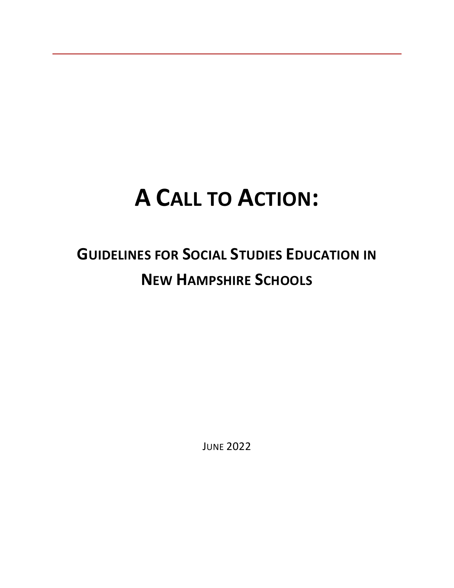# **A CALL TO ACTION:**

# **GUIDELINES FOR SOCIAL STUDIES EDUCATION IN NEW HAMPSHIRE SCHOOLS**

JUNE 2022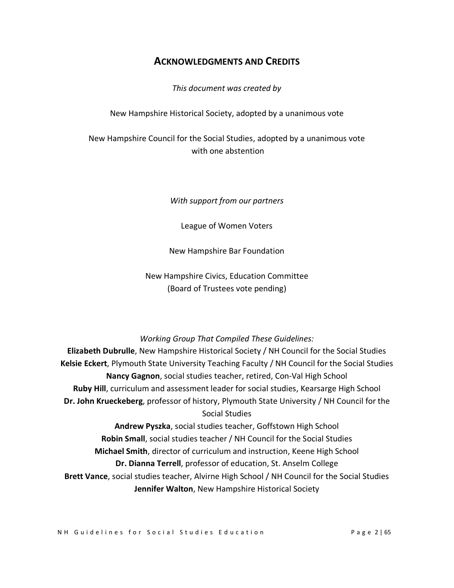## **ACKNOWLEDGMENTS AND CREDITS**

*This document was created by*

New Hampshire Historical Society, adopted by a unanimous vote

New Hampshire Council for the Social Studies, adopted by a unanimous vote with one abstention

*With support from our partners*

League of Women Voters

New Hampshire Bar Foundation

New Hampshire Civics, Education Committee (Board of Trustees vote pending)

#### *Working Group That Compiled These Guidelines:*

**Elizabeth Dubrulle**, New Hampshire Historical Society / NH Council for the Social Studies **Kelsie Eckert**, Plymouth State University Teaching Faculty / NH Council for the Social Studies **Nancy Gagnon**, social studies teacher, retired, Con-Val High School **Ruby Hill**, curriculum and assessment leader for social studies, Kearsarge High School **Dr. John Krueckeberg**, professor of history, Plymouth State University / NH Council for the Social Studies

**Andrew Pyszka**, social studies teacher, Goffstown High School **Robin Small**, social studies teacher / NH Council for the Social Studies **Michael Smith**, director of curriculum and instruction, Keene High School **Dr. Dianna Terrell**, professor of education, St. Anselm College **Brett Vance**, social studies teacher, Alvirne High School / NH Council for the Social Studies **Jennifer Walton**, New Hampshire Historical Society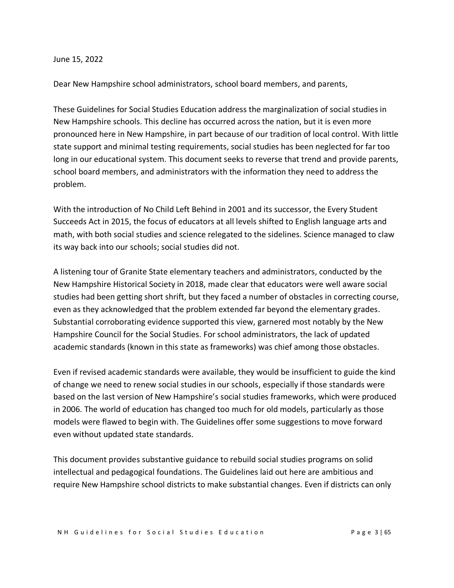#### June 15, 2022

Dear New Hampshire school administrators, school board members, and parents,

These Guidelines for Social Studies Education address the marginalization of social studies in New Hampshire schools. This decline has occurred across the nation, but it is even more pronounced here in New Hampshire, in part because of our tradition of local control. With little state support and minimal testing requirements, social studies has been neglected for far too long in our educational system. This document seeks to reverse that trend and provide parents, school board members, and administrators with the information they need to address the problem.

With the introduction of No Child Left Behind in 2001 and its successor, the Every Student Succeeds Act in 2015, the focus of educators at all levels shifted to English language arts and math, with both social studies and science relegated to the sidelines. Science managed to claw its way back into our schools; social studies did not.

A listening tour of Granite State elementary teachers and administrators, conducted by the New Hampshire Historical Society in 2018, made clear that educators were well aware social studies had been getting short shrift, but they faced a number of obstacles in correcting course, even as they acknowledged that the problem extended far beyond the elementary grades. Substantial corroborating evidence supported this view, garnered most notably by the New Hampshire Council for the Social Studies. For school administrators, the lack of updated academic standards (known in this state as frameworks) was chief among those obstacles.

Even if revised academic standards were available, they would be insufficient to guide the kind of change we need to renew social studies in our schools, especially if those standards were based on the last version of New Hampshire's social studies frameworks, which were produced in 2006. The world of education has changed too much for old models, particularly as those models were flawed to begin with. The Guidelines offer some suggestions to move forward even without updated state standards.

This document provides substantive guidance to rebuild social studies programs on solid intellectual and pedagogical foundations. The Guidelines laid out here are ambitious and require New Hampshire school districts to make substantial changes. Even if districts can only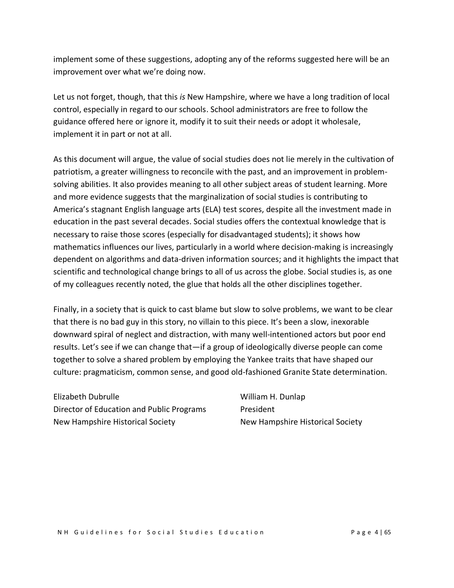implement some of these suggestions, adopting any of the reforms suggested here will be an improvement over what we're doing now.

Let us not forget, though, that this *is* New Hampshire, where we have a long tradition of local control, especially in regard to our schools. School administrators are free to follow the guidance offered here or ignore it, modify it to suit their needs or adopt it wholesale, implement it in part or not at all.

As this document will argue, the value of social studies does not lie merely in the cultivation of patriotism, a greater willingness to reconcile with the past, and an improvement in problemsolving abilities. It also provides meaning to all other subject areas of student learning. More and more evidence suggests that the marginalization of social studies is contributing to America's stagnant English language arts (ELA) test scores, despite all the investment made in education in the past several decades. Social studies offers the contextual knowledge that is necessary to raise those scores (especially for disadvantaged students); it shows how mathematics influences our lives, particularly in a world where decision-making is increasingly dependent on algorithms and data-driven information sources; and it highlights the impact that scientific and technological change brings to all of us across the globe. Social studies is, as one of my colleagues recently noted, the glue that holds all the other disciplines together.

Finally, in a society that is quick to cast blame but slow to solve problems, we want to be clear that there is no bad guy in this story, no villain to this piece. It's been a slow, inexorable downward spiral of neglect and distraction, with many well-intentioned actors but poor end results. Let's see if we can change that—if a group of ideologically diverse people can come together to solve a shared problem by employing the Yankee traits that have shaped our culture: pragmaticism, common sense, and good old-fashioned Granite State determination.

Elizabeth Dubrulle Director of Education and Public Programs New Hampshire Historical Society

William H. Dunlap President New Hampshire Historical Society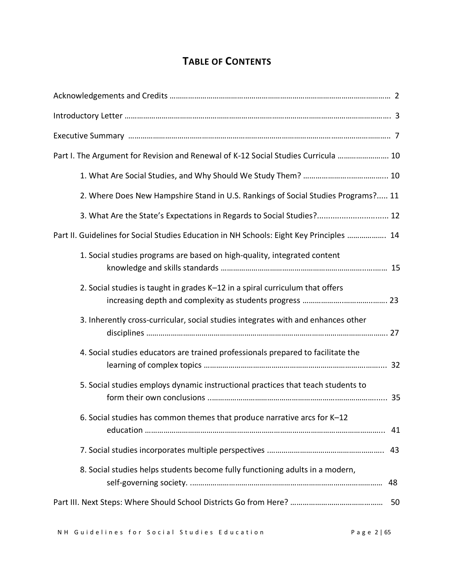## **TABLE OF CONTENTS**

| Part I. The Argument for Revision and Renewal of K-12 Social Studies Curricula  10       |    |
|------------------------------------------------------------------------------------------|----|
|                                                                                          |    |
| 2. Where Does New Hampshire Stand in U.S. Rankings of Social Studies Programs? 11        |    |
| 3. What Are the State's Expectations in Regards to Social Studies? 12                    |    |
| Part II. Guidelines for Social Studies Education in NH Schools: Eight Key Principles  14 |    |
| 1. Social studies programs are based on high-quality, integrated content                 |    |
| 2. Social studies is taught in grades K-12 in a spiral curriculum that offers            |    |
| 3. Inherently cross-curricular, social studies integrates with and enhances other        |    |
| 4. Social studies educators are trained professionals prepared to facilitate the         |    |
| 5. Social studies employs dynamic instructional practices that teach students to         |    |
| 6. Social studies has common themes that produce narrative arcs for K-12                 |    |
|                                                                                          |    |
| 8. Social studies helps students become fully functioning adults in a modern,            | 48 |
|                                                                                          | 50 |
|                                                                                          |    |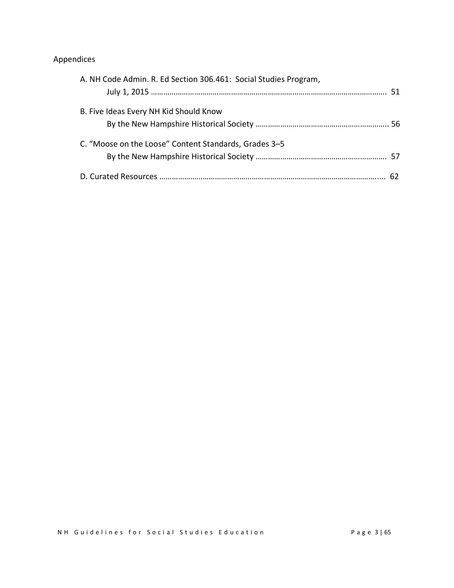## Appendices

| A. NH Code Admin. R. Ed Section 306.461: Social Studies Program, |  |
|------------------------------------------------------------------|--|
| B. Five Ideas Every NH Kid Should Know                           |  |
| C. "Moose on the Loose" Content Standards, Grades 3–5            |  |
|                                                                  |  |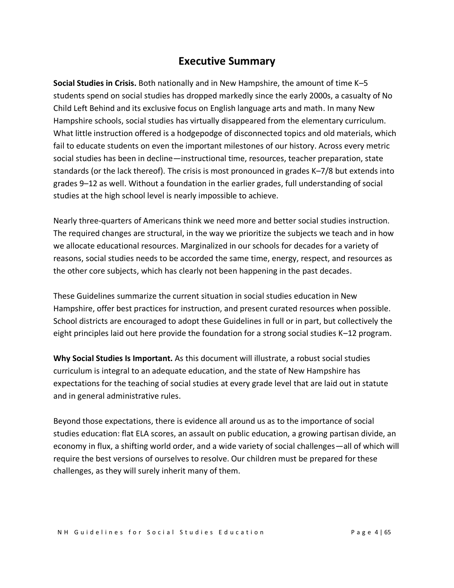## **Executive Summary**

**Social Studies in Crisis.** Both nationally and in New Hampshire, the amount of time K–5 students spend on social studies has dropped markedly since the early 2000s, a casualty of No Child Left Behind and its exclusive focus on English language arts and math. In many New Hampshire schools, social studies has virtually disappeared from the elementary curriculum. What little instruction offered is a hodgepodge of disconnected topics and old materials, which fail to educate students on even the important milestones of our history. Across every metric social studies has been in decline—instructional time, resources, teacher preparation, state standards (or the lack thereof). The crisis is most pronounced in grades K–7/8 but extends into grades 9–12 as well. Without a foundation in the earlier grades, full understanding of social studies at the high school level is nearly impossible to achieve.

Nearly three-quarters of Americans think we need more and better social studies instruction. The required changes are structural, in the way we prioritize the subjects we teach and in how we allocate educational resources. Marginalized in our schools for decades for a variety of reasons, social studies needs to be accorded the same time, energy, respect, and resources as the other core subjects, which has clearly not been happening in the past decades.

These Guidelines summarize the current situation in social studies education in New Hampshire, offer best practices for instruction, and present curated resources when possible. School districts are encouraged to adopt these Guidelines in full or in part, but collectively the eight principles laid out here provide the foundation for a strong social studies K–12 program.

**Why Social Studies Is Important.** As this document will illustrate, a robust social studies curriculum is integral to an adequate education, and the state of New Hampshire has expectations for the teaching of social studies at every grade level that are laid out in statute and in general administrative rules.

Beyond those expectations, there is evidence all around us as to the importance of social studies education: flat ELA scores, an assault on public education, a growing partisan divide, an economy in flux, a shifting world order, and a wide variety of social challenges—all of which will require the best versions of ourselves to resolve. Our children must be prepared for these challenges, as they will surely inherit many of them.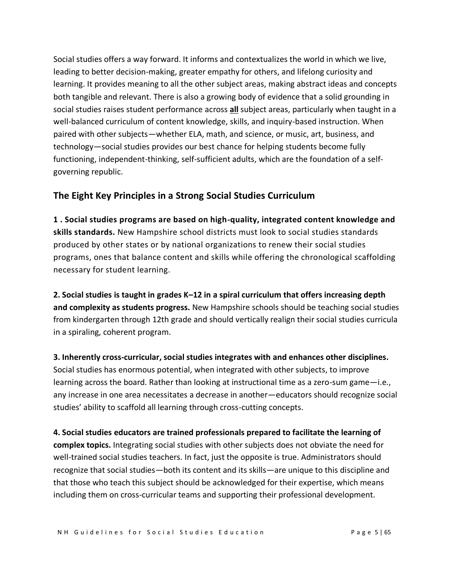Social studies offers a way forward. It informs and contextualizes the world in which we live, leading to better decision-making, greater empathy for others, and lifelong curiosity and learning. It provides meaning to all the other subject areas, making abstract ideas and concepts both tangible and relevant. There is also a growing body of evidence that a solid grounding in social studies raises student performance across **all** subject areas, particularly when taught in a well-balanced curriculum of content knowledge, skills, and inquiry-based instruction. When paired with other subjects—whether ELA, math, and science, or music, art, business, and technology—social studies provides our best chance for helping students become fully functioning, independent-thinking, self-sufficient adults, which are the foundation of a selfgoverning republic.

## **The Eight Key Principles in a Strong Social Studies Curriculum**

**1 . Social studies programs are based on high-quality, integrated content knowledge and skills standards.** New Hampshire school districts must look to social studies standards produced by other states or by national organizations to renew their social studies programs, ones that balance content and skills while offering the chronological scaffolding necessary for student learning.

**2. Social studies is taught in grades K–12 in a spiral curriculum that offers increasing depth and complexity as students progress.** New Hampshire schools should be teaching social studies from kindergarten through 12th grade and should vertically realign their social studies curricula in a spiraling, coherent program.

**3. Inherently cross-curricular, social studies integrates with and enhances other disciplines.** Social studies has enormous potential, when integrated with other subjects, to improve learning across the board. Rather than looking at instructional time as a zero-sum game—i.e., any increase in one area necessitates a decrease in another—educators should recognize social studies' ability to scaffold all learning through cross-cutting concepts.

**4. Social studies educators are trained professionals prepared to facilitate the learning of complex topics.** Integrating social studies with other subjects does not obviate the need for well-trained social studies teachers. In fact, just the opposite is true. Administrators should recognize that social studies—both its content and its skills—are unique to this discipline and that those who teach this subject should be acknowledged for their expertise, which means including them on cross-curricular teams and supporting their professional development.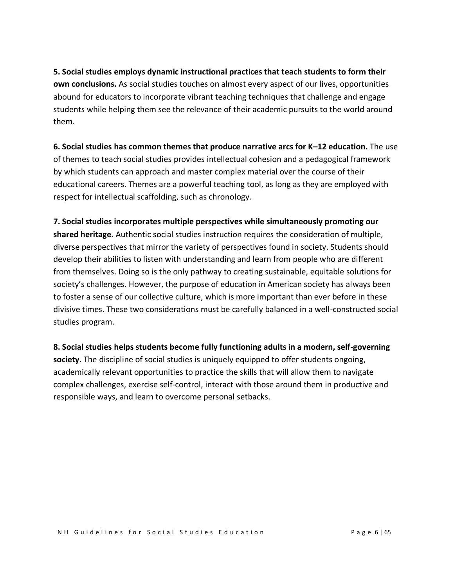**5. Social studies employs dynamic instructional practices that teach students to form their own conclusions.** As social studies touches on almost every aspect of our lives, opportunities abound for educators to incorporate vibrant teaching techniques that challenge and engage students while helping them see the relevance of their academic pursuits to the world around them.

**6. Social studies has common themes that produce narrative arcs for K–12 education.** The use of themes to teach social studies provides intellectual cohesion and a pedagogical framework by which students can approach and master complex material over the course of their educational careers. Themes are a powerful teaching tool, as long as they are employed with respect for intellectual scaffolding, such as chronology.

**7. Social studies incorporates multiple perspectives while simultaneously promoting our shared heritage.** Authentic social studies instruction requires the consideration of multiple, diverse perspectives that mirror the variety of perspectives found in society. Students should develop their abilities to listen with understanding and learn from people who are different from themselves. Doing so is the only pathway to creating sustainable, equitable solutions for society's challenges. However, the purpose of education in American society has always been to foster a sense of our collective culture, which is more important than ever before in these divisive times. These two considerations must be carefully balanced in a well-constructed social studies program.

**8. Social studies helps students become fully functioning adults in a modern, self-governing society.** The discipline of social studies is uniquely equipped to offer students ongoing, academically relevant opportunities to practice the skills that will allow them to navigate complex challenges, exercise self-control, interact with those around them in productive and responsible ways, and learn to overcome personal setbacks.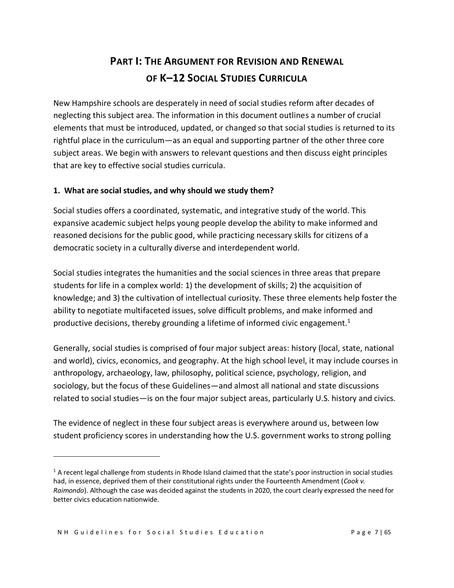# **PART I: THE ARGUMENT FOR REVISION AND RENEWAL OF K–12 SOCIAL STUDIES CURRICULA**

New Hampshire schools are desperately in need of social studies reform after decades of neglecting this subject area. The information in this document outlines a number of crucial elements that must be introduced, updated, or changed so that social studies is returned to its rightful place in the curriculum—as an equal and supporting partner of the other three core subject areas. We begin with answers to relevant questions and then discuss eight principles that are key to effective social studies curricula.

#### **1. What are social studies, and why should we study them?**

Social studies offers a coordinated, systematic, and integrative study of the world. This expansive academic subject helps young people develop the ability to make informed and reasoned decisions for the public good, while practicing necessary skills for citizens of a democratic society in a culturally diverse and interdependent world.

Social studies integrates the humanities and the social sciences in three areas that prepare students for life in a complex world: 1) the development of skills; 2) the acquisition of knowledge; and 3) the cultivation of intellectual curiosity. These three elements help foster the ability to negotiate multifaceted issues, solve difficult problems, and make informed and productive decisions, thereby grounding a lifetime of informed civic engagement.<sup>1</sup>

Generally, social studies is comprised of four major subject areas: history (local, state, national and world), civics, economics, and geography. At the high school level, it may include courses in anthropology, archaeology, law, philosophy, political science, psychology, religion, and sociology, but the focus of these Guidelines—and almost all national and state discussions related to social studies—is on the four major subject areas, particularly U.S. history and civics.

The evidence of neglect in these four subject areas is everywhere around us, between low student proficiency scores in understanding how the U.S. government works to strong polling

 $1$  A recent legal challenge from students in Rhode Island claimed that the state's poor instruction in social studies had, in essence, deprived them of their constitutional rights under the Fourteenth Amendment (*Cook v. Raimondo*). Although the case was decided against the students in 2020, the court clearly expressed the need for better civics education nationwide.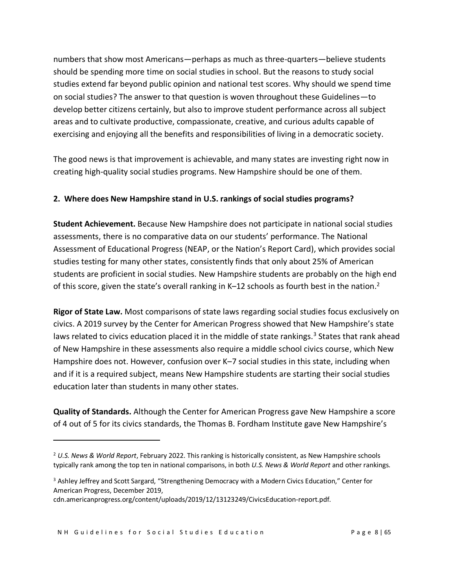numbers that show most Americans—perhaps as much as three-quarters—believe students should be spending more time on social studies in school. But the reasons to study social studies extend far beyond public opinion and national test scores. Why should we spend time on social studies? The answer to that question is woven throughout these Guidelines—to develop better citizens certainly, but also to improve student performance across all subject areas and to cultivate productive, compassionate, creative, and curious adults capable of exercising and enjoying all the benefits and responsibilities of living in a democratic society.

The good news is that improvement is achievable, and many states are investing right now in creating high-quality social studies programs. New Hampshire should be one of them.

### **2. Where does New Hampshire stand in U.S. rankings of social studies programs?**

**Student Achievement.** Because New Hampshire does not participate in national social studies assessments, there is no comparative data on our students' performance. The National Assessment of Educational Progress (NEAP, or the Nation's Report Card), which provides social studies testing for many other states, consistently finds that only about 25% of American students are proficient in social studies. New Hampshire students are probably on the high end of this score, given the state's overall ranking in K–12 schools as fourth best in the nation.<sup>2</sup>

**Rigor of State Law.** Most comparisons of state laws regarding social studies focus exclusively on civics. A 2019 survey by the Center for American Progress showed that New Hampshire's state laws related to civics education placed it in the middle of state rankings.<sup>3</sup> States that rank ahead of New Hampshire in these assessments also require a middle school civics course, which New Hampshire does not. However, confusion over K–7 social studies in this state, including when and if it is a required subject, means New Hampshire students are starting their social studies education later than students in many other states.

**Quality of Standards.** Although the Center for American Progress gave New Hampshire a score of 4 out of 5 for its civics standards, the Thomas B. Fordham Institute gave New Hampshire's

<sup>2</sup> *U.S. News & World Report*, February 2022. This ranking is historically consistent, as New Hampshire schools typically rank among the top ten in national comparisons, in both *U.S. News & World Report* and other rankings.

<sup>&</sup>lt;sup>3</sup> Ashley Jeffrey and Scott Sargard, "Strengthening Democracy with a Modern Civics Education," Center for American Progress, December 2019,

cdn.americanprogress.org/content/uploads/2019/12/13123249/CivicsEducation-report.pdf.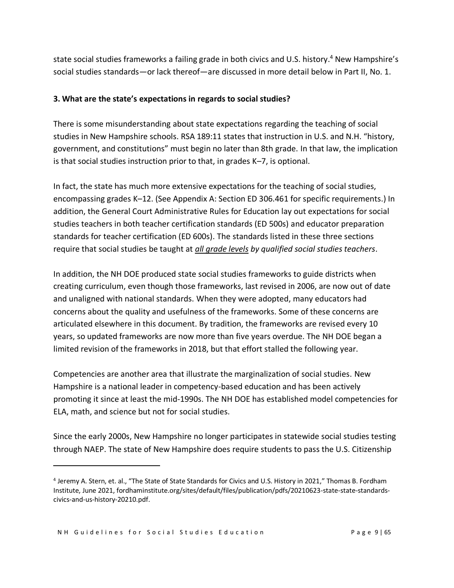state social studies frameworks a failing grade in both civics and U.S. history. <sup>4</sup> New Hampshire's social studies standards—or lack thereof—are discussed in more detail below in Part II, No. 1.

#### **3. What are the state's expectations in regards to social studies?**

There is some misunderstanding about state expectations regarding the teaching of social studies in New Hampshire schools. RSA 189:11 states that instruction in U.S. and N.H. "history, government, and constitutions" must begin no later than 8th grade. In that law, the implication is that social studies instruction prior to that, in grades K–7, is optional.

In fact, the state has much more extensive expectations for the teaching of social studies, encompassing grades K–12. (See Appendix A: Section ED 306.461 for specific requirements.) In addition, the General Court Administrative Rules for Education lay out expectations for social studies teachers in both teacher certification standards (ED 500s) and educator preparation standards for teacher certification (ED 600s). The standards listed in these three sections require that social studies be taught at *all grade levels by qualified social studies teachers*.

In addition, the NH DOE produced state social studies frameworks to guide districts when creating curriculum, even though those frameworks, last revised in 2006, are now out of date and unaligned with national standards. When they were adopted, many educators had concerns about the quality and usefulness of the frameworks. Some of these concerns are articulated elsewhere in this document. By tradition, the frameworks are revised every 10 years, so updated frameworks are now more than five years overdue. The NH DOE began a limited revision of the frameworks in 2018, but that effort stalled the following year.

Competencies are another area that illustrate the marginalization of social studies. New Hampshire is a national leader in competency-based education and has been actively promoting it since at least the mid-1990s. The NH DOE has established model competencies for ELA, math, and science but not for social studies.

Since the early 2000s, New Hampshire no longer participates in statewide social studies testing through NAEP. The state of New Hampshire does require students to pass the U.S. Citizenship

<sup>4</sup> Jeremy A. Stern, et. al., "The State of State Standards for Civics and U.S. History in 2021," Thomas B. Fordham Institute, June 2021, fordhaminstitute.org/sites/default/files/publication/pdfs/20210623-state-state-standardscivics-and-us-history-20210.pdf.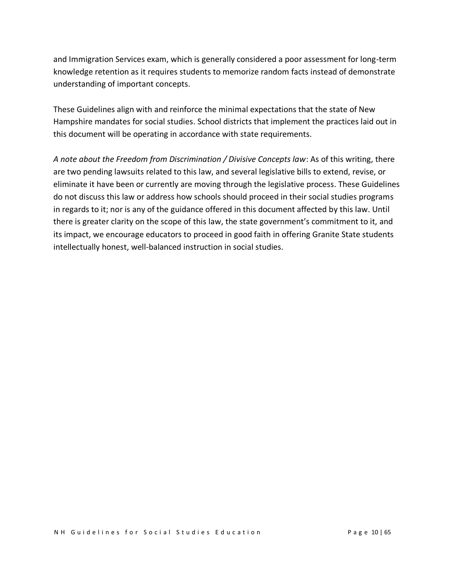and Immigration Services exam, which is generally considered a poor assessment for long-term knowledge retention as it requires students to memorize random facts instead of demonstrate understanding of important concepts.

These Guidelines align with and reinforce the minimal expectations that the state of New Hampshire mandates for social studies. School districts that implement the practices laid out in this document will be operating in accordance with state requirements.

*A note about the Freedom from Discrimination / Divisive Concepts law*: As of this writing, there are two pending lawsuits related to this law, and several legislative bills to extend, revise, or eliminate it have been or currently are moving through the legislative process. These Guidelines do not discuss this law or address how schools should proceed in their social studies programs in regards to it; nor is any of the guidance offered in this document affected by this law. Until there is greater clarity on the scope of this law, the state government's commitment to it, and its impact, we encourage educators to proceed in good faith in offering Granite State students intellectually honest, well-balanced instruction in social studies.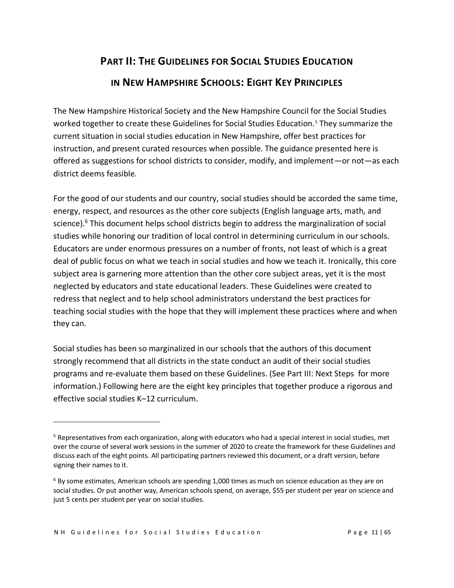# **PART II: THE GUIDELINES FOR SOCIAL STUDIES EDUCATION IN NEW HAMPSHIRE SCHOOLS: EIGHT KEY PRINCIPLES**

The New Hampshire Historical Society and the New Hampshire Council for the Social Studies worked together to create these Guidelines for Social Studies Education.<sup>5</sup> They summarize the current situation in social studies education in New Hampshire, offer best practices for instruction, and present curated resources when possible. The guidance presented here is offered as suggestions for school districts to consider, modify, and implement—or not—as each district deems feasible.

For the good of our students and our country, social studies should be accorded the same time, energy, respect, and resources as the other core subjects (English language arts, math, and science).<sup>6</sup> This document helps school districts begin to address the marginalization of social studies while honoring our tradition of local control in determining curriculum in our schools. Educators are under enormous pressures on a number of fronts, not least of which is a great deal of public focus on what we teach in social studies and how we teach it. Ironically, this core subject area is garnering more attention than the other core subject areas, yet it is the most neglected by educators and state educational leaders. These Guidelines were created to redress that neglect and to help school administrators understand the best practices for teaching social studies with the hope that they will implement these practices where and when they can.

Social studies has been so marginalized in our schools that the authors of this document strongly recommend that all districts in the state conduct an audit of their social studies programs and re-evaluate them based on these Guidelines. (See Part III: Next Steps for more information.) Following here are the eight key principles that together produce a rigorous and effective social studies K–12 curriculum.

<sup>&</sup>lt;sup>5</sup> Representatives from each organization, along with educators who had a special interest in social studies, met over the course of several work sessions in the summer of 2020 to create the framework for these Guidelines and discuss each of the eight points. All participating partners reviewed this document, or a draft version, before signing their names to it.

 $6$  By some estimates, American schools are spending 1,000 times as much on science education as they are on social studies. Or put another way, American schools spend, on average, \$55 per student per year on science and just 5 cents per student per year on social studies.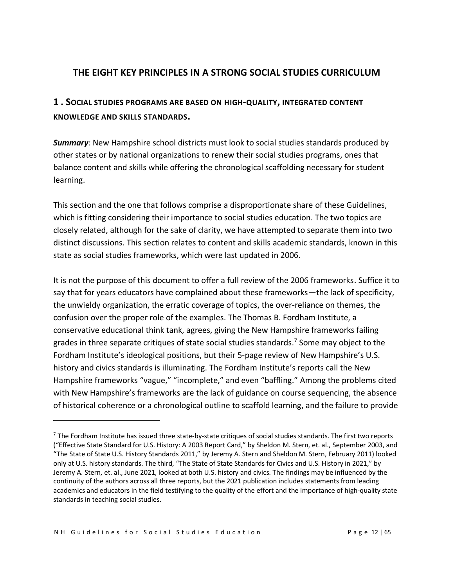## **THE EIGHT KEY PRINCIPLES IN A STRONG SOCIAL STUDIES CURRICULUM**

## **1 . SOCIAL STUDIES PROGRAMS ARE BASED ON HIGH-QUALITY, INTEGRATED CONTENT KNOWLEDGE AND SKILLS STANDARDS.**

*Summary*: New Hampshire school districts must look to social studies standards produced by other states or by national organizations to renew their social studies programs, ones that balance content and skills while offering the chronological scaffolding necessary for student learning.

This section and the one that follows comprise a disproportionate share of these Guidelines, which is fitting considering their importance to social studies education. The two topics are closely related, although for the sake of clarity, we have attempted to separate them into two distinct discussions. This section relates to content and skills academic standards, known in this state as social studies frameworks, which were last updated in 2006.

It is not the purpose of this document to offer a full review of the 2006 frameworks. Suffice it to say that for years educators have complained about these frameworks—the lack of specificity, the unwieldy organization, the erratic coverage of topics, the over-reliance on themes, the confusion over the proper role of the examples. The Thomas B. Fordham Institute, a conservative educational think tank, agrees, giving the New Hampshire frameworks failing grades in three separate critiques of state social studies standards.<sup>7</sup> Some may object to the Fordham Institute's ideological positions, but their 5-page review of New Hampshire's U.S. history and civics standards is illuminating. The Fordham Institute's reports call the New Hampshire frameworks "vague," "incomplete," and even "baffling." Among the problems cited with New Hampshire's frameworks are the lack of guidance on course sequencing, the absence of historical coherence or a chronological outline to scaffold learning, and the failure to provide

 $7$  The Fordham Institute has issued three state-by-state critiques of social studies standards. The first two reports ("Effective State Standard for U.S. History: A 2003 Report Card," by Sheldon M. Stern, et. al., September 2003, and "The State of State U.S. History Standards 2011," by Jeremy A. Stern and Sheldon M. Stern, February 2011) looked only at U.S. history standards. The third, "The State of State Standards for Civics and U.S. History in 2021," by Jeremy A. Stern, et. al., June 2021, looked at both U.S. history and civics. The findings may be influenced by the continuity of the authors across all three reports, but the 2021 publication includes statements from leading academics and educators in the field testifying to the quality of the effort and the importance of high-quality state standards in teaching social studies.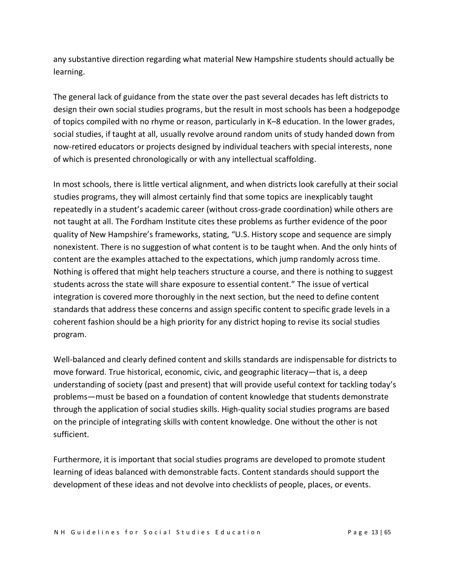any substantive direction regarding what material New Hampshire students should actually be learning.

The general lack of guidance from the state over the past several decades has left districts to design their own social studies programs, but the result in most schools has been a hodgepodge of topics compiled with no rhyme or reason, particularly in K–8 education. In the lower grades, social studies, if taught at all, usually revolve around random units of study handed down from now-retired educators or projects designed by individual teachers with special interests, none of which is presented chronologically or with any intellectual scaffolding.

In most schools, there is little vertical alignment, and when districts look carefully at their social studies programs, they will almost certainly find that some topics are inexplicably taught repeatedly in a student's academic career (without cross-grade coordination) while others are not taught at all. The Fordham Institute cites these problems as further evidence of the poor quality of New Hampshire's frameworks, stating, "U.S. History scope and sequence are simply nonexistent. There is no suggestion of what content is to be taught when. And the only hints of content are the examples attached to the expectations, which jump randomly across time. Nothing is offered that might help teachers structure a course, and there is nothing to suggest students across the state will share exposure to essential content." The issue of vertical integration is covered more thoroughly in the next section, but the need to define content standards that address these concerns and assign specific content to specific grade levels in a coherent fashion should be a high priority for any district hoping to revise its social studies program.

Well-balanced and clearly defined content and skills standards are indispensable for districts to move forward. True historical, economic, civic, and geographic literacy—that is, a deep understanding of society (past and present) that will provide useful context for tackling today's problems—must be based on a foundation of content knowledge that students demonstrate through the application of social studies skills. High-quality social studies programs are based on the principle of integrating skills with content knowledge. One without the other is not sufficient.

Furthermore, it is important that social studies programs are developed to promote student learning of ideas balanced with demonstrable facts. Content standards should support the development of these ideas and not devolve into checklists of people, places, or events.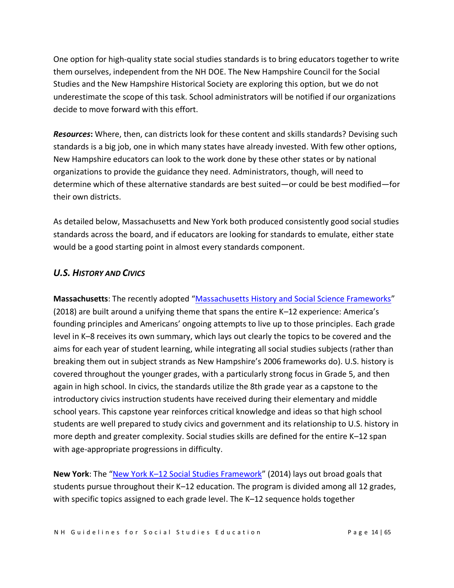One option for high-quality state social studies standards is to bring educators together to write them ourselves, independent from the NH DOE. The New Hampshire Council for the Social Studies and the New Hampshire Historical Society are exploring this option, but we do not underestimate the scope of this task. School administrators will be notified if our organizations decide to move forward with this effort.

*Resources***:** Where, then, can districts look for these content and skills standards? Devising such standards is a big job, one in which many states have already invested. With few other options, New Hampshire educators can look to the work done by these other states or by national organizations to provide the guidance they need. Administrators, though, will need to determine which of these alternative standards are best suited—or could be best modified—for their own districts.

As detailed below, Massachusetts and New York both produced consistently good social studies standards across the board, and if educators are looking for standards to emulate, either state would be a good starting point in almost every standards component.

## *U.S. HISTORY AND CIVICS*

**Massachusetts**: The recently adopted "[Massachusetts History and Social Science Frameworks](https://www.doe.mass.edu/frameworks/hss/2018-12.pdf)" (2018) are built around a unifying theme that spans the entire K–12 experience: America's founding principles and Americans' ongoing attempts to live up to those principles. Each grade level in K–8 receives its own summary, which lays out clearly the topics to be covered and the aims for each year of student learning, while integrating all social studies subjects (rather than breaking them out in subject strands as New Hampshire's 2006 frameworks do). U.S. history is covered throughout the younger grades, with a particularly strong focus in Grade 5, and then again in high school. In civics, the standards utilize the 8th grade year as a capstone to the introductory civics instruction students have received during their elementary and middle school years. This capstone year reinforces critical knowledge and ideas so that high school students are well prepared to study civics and government and its relationship to U.S. history in more depth and greater complexity. Social studies skills are defined for the entire K–12 span with age-appropriate progressions in difficulty.

**New York**: The "New York K–[12 Social Studies Framework](http://www.nysed.gov/curriculum-instruction/k-12-social-studies-framework)" (2014) lays out broad goals that students pursue throughout their K–12 education. The program is divided among all 12 grades, with specific topics assigned to each grade level. The K–12 sequence holds together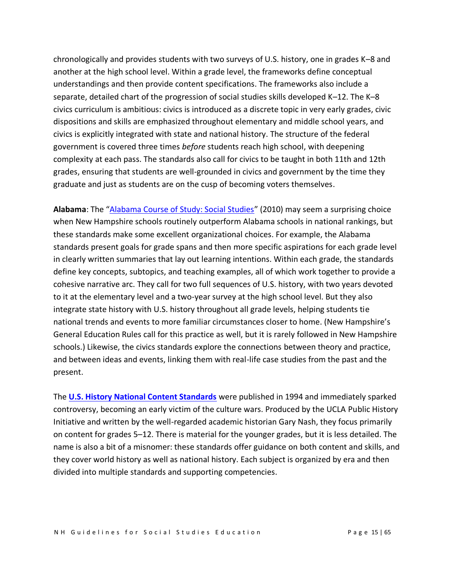chronologically and provides students with two surveys of U.S. history, one in grades K–8 and another at the high school level. Within a grade level, the frameworks define conceptual understandings and then provide content specifications. The frameworks also include a separate, detailed chart of the progression of social studies skills developed K–12. The K–8 civics curriculum is ambitious: civics is introduced as a discrete topic in very early grades, civic dispositions and skills are emphasized throughout elementary and middle school years, and civics is explicitly integrated with state and national history. The structure of the federal government is covered three times *before* students reach high school, with deepening complexity at each pass. The standards also call for civics to be taught in both 11th and 12th grades, ensuring that students are well-grounded in civics and government by the time they graduate and just as students are on the cusp of becoming voters themselves.

**Alabama**: The "[Alabama Course of Study: Social Studies](https://www.alabamaachieves.org/wp-content/uploads/2021/03/2010-Alabama-Social-Studies-Course-of-Study.pdf)" (2010) may seem a surprising choice when New Hampshire schools routinely outperform Alabama schools in national rankings, but these standards make some excellent organizational choices. For example, the Alabama standards present goals for grade spans and then more specific aspirations for each grade level in clearly written summaries that lay out learning intentions. Within each grade, the standards define key concepts, subtopics, and teaching examples, all of which work together to provide a cohesive narrative arc. They call for two full sequences of U.S. history, with two years devoted to it at the elementary level and a two-year survey at the high school level. But they also integrate state history with U.S. history throughout all grade levels, helping students tie national trends and events to more familiar circumstances closer to home. (New Hampshire's General Education Rules call for this practice as well, but it is rarely followed in New Hampshire schools.) Likewise, the civics standards explore the connections between theory and practice, and between ideas and events, linking them with real-life case studies from the past and the present.

The **[U.S. History National Content Standards](https://phi.history.ucla.edu/nchs/united-states-history-content-standards/)** were published in 1994 and immediately sparked controversy, becoming an early victim of the culture wars. Produced by the UCLA Public History Initiative and written by the well-regarded academic historian Gary Nash, they focus primarily on content for grades 5–12. There is material for the younger grades, but it is less detailed. The name is also a bit of a misnomer: these standards offer guidance on both content and skills, and they cover world history as well as national history. Each subject is organized by era and then divided into multiple standards and supporting competencies.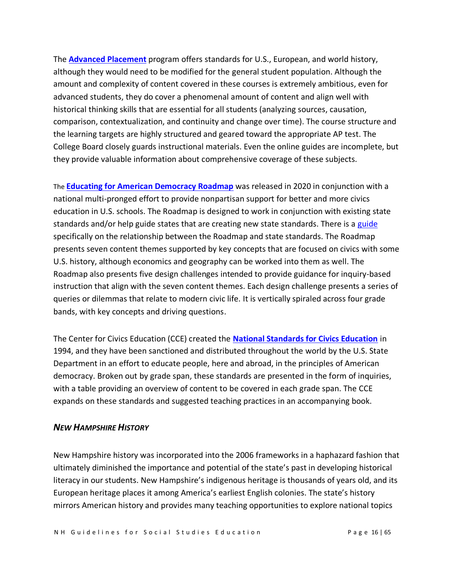The **[Advanced Placement](https://apcentral.collegeboard.org/pdf/ap-us-history-course-and-exam-description.pdf)** program offers standards for U.S., European, and world history, although they would need to be modified for the general student population. Although the amount and complexity of content covered in these courses is extremely ambitious, even for advanced students, they do cover a phenomenal amount of content and align well with historical thinking skills that are essential for all students (analyzing sources, causation, comparison, contextualization, and continuity and change over time). The course structure and the learning targets are highly structured and geared toward the appropriate AP test. The College Board closely guards instructional materials. Even the online guides are incomplete, but they provide valuable information about comprehensive coverage of these subjects.

The **[Educating for American Democracy Roadmap](https://www.educatingforamericandemocracy.org/)** was released in 2020 in conjunction with a national multi-pronged effort to provide nonpartisan support for better and more civics education in U.S. schools. The Roadmap is designed to work in conjunction with existing state standards and/or help guide states that are creating new state standards. There is a [guide](https://www.educatingforamericandemocracy.org/wp-content/uploads/2021/02/EAD-State-Standards-Guidance.pdf)  specifically on the relationship between the Roadmap and state standards. The Roadmap presents seven content themes supported by key concepts that are focused on civics with some U.S. history, although economics and geography can be worked into them as well. The Roadmap also presents five design challenges intended to provide guidance for inquiry-based instruction that align with the seven content themes. Each design challenge presents a series of queries or dilemmas that relate to modern civic life. It is vertically spiraled across four grade bands, with key concepts and driving questions.

The Center for Civics Education (CCE) created the **[National Standards for Civics Education](https://www.civiced.org/standards)** in 1994, and they have been sanctioned and distributed throughout the world by the U.S. State Department in an effort to educate people, here and abroad, in the principles of American democracy. Broken out by grade span, these standards are presented in the form of inquiries, with a table providing an overview of content to be covered in each grade span. The CCE expands on these standards and suggested teaching practices in an accompanying book.

#### *NEW HAMPSHIRE HISTORY*

New Hampshire history was incorporated into the 2006 frameworks in a haphazard fashion that ultimately diminished the importance and potential of the state's past in developing historical literacy in our students. New Hampshire's indigenous heritage is thousands of years old, and its European heritage places it among America's earliest English colonies. The state's history mirrors American history and provides many teaching opportunities to explore national topics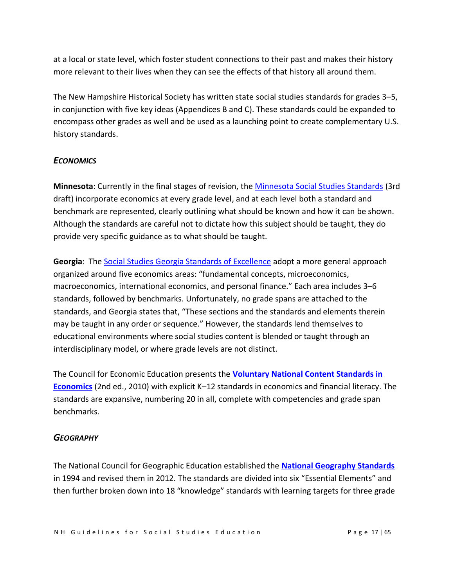at a local or state level, which foster student connections to their past and makes their history more relevant to their lives when they can see the effects of that history all around them.

The New Hampshire Historical Society has written state social studies standards for grades 3–5, in conjunction with five key ideas (Appendices B and C). These standards could be expanded to encompass other grades as well and be used as a launching point to create complementary U.S. history standards.

### *ECONOMICS*

**Minnesota**: Currently in the final stages of revision, the [Minnesota Social Studies Standards](https://education.mn.gov/mde/dse/stds/) (3rd draft) incorporate economics at every grade level, and at each level both a standard and benchmark are represented, clearly outlining what should be known and how it can be shown. Although the standards are careful not to dictate how this subject should be taught, they do provide very specific guidance as to what should be taught.

**Georgia**: The [Social Studies Georgia Standards of Excellence](https://www.georgiastandards.org/georgia-standards/pages/social-studies.aspx) adopt a more general approach organized around five economics areas: "fundamental concepts, microeconomics, macroeconomics, international economics, and personal finance." Each area includes 3–6 standards, followed by benchmarks. Unfortunately, no grade spans are attached to the standards, and Georgia states that, "These sections and the standards and elements therein may be taught in any order or sequence." However, the standards lend themselves to educational environments where social studies content is blended or taught through an interdisciplinary model, or where grade levels are not distinct.

The Council for Economic Education presents the **[Voluntary National Content Standards in](https://www.councilforeconed.org/wp-content/uploads/2012/03/voluntary-national-content-standards-2010.pdf)  [Economics](https://www.councilforeconed.org/wp-content/uploads/2012/03/voluntary-national-content-standards-2010.pdf)** (2nd ed., 2010) with explicit K–12 standards in economics and financial literacy. The standards are expansive, numbering 20 in all, complete with competencies and grade span benchmarks.

### *GEOGRAPHY*

The National Council for Geographic Education established the **[National Geography Standards](https://ncge.org/teacher-resources/national-geography-standards/)** in 1994 and revised them in 2012. The standards are divided into six "Essential Elements" and then further broken down into 18 "knowledge" standards with learning targets for three grade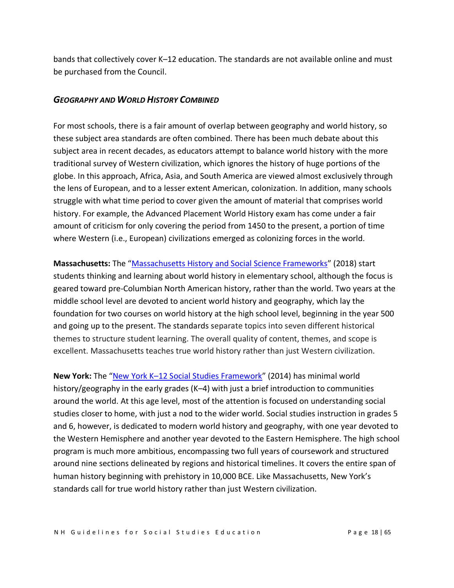bands that collectively cover K–12 education. The standards are not available online and must be purchased from the Council.

#### *GEOGRAPHY AND WORLD HISTORY COMBINED*

For most schools, there is a fair amount of overlap between geography and world history, so these subject area standards are often combined. There has been much debate about this subject area in recent decades, as educators attempt to balance world history with the more traditional survey of Western civilization, which ignores the history of huge portions of the globe. In this approach, Africa, Asia, and South America are viewed almost exclusively through the lens of European, and to a lesser extent American, colonization. In addition, many schools struggle with what time period to cover given the amount of material that comprises world history. For example, the Advanced Placement World History exam has come under a fair amount of criticism for only covering the period from 1450 to the present, a portion of time where Western (i.e., European) civilizations emerged as colonizing forces in the world.

**Massachusetts:** The "Massachusetts History [and Social Science Frameworks](https://www.doe.mass.edu/frameworks/hss/2018-12.pdf)" (2018) start students thinking and learning about world history in elementary school, although the focus is geared toward pre-Columbian North American history, rather than the world. Two years at the middle school level are devoted to ancient world history and geography, which lay the foundation for two courses on world history at the high school level, beginning in the year 500 and going up to the present. The standards separate topics into seven different historical themes to structure student learning. The overall quality of content, themes, and scope is excellent. Massachusetts teaches true world history rather than just Western civilization.

**New York:** The "New York K–[12 Social Studies Framework](http://www.nysed.gov/curriculum-instruction/k-12-social-studies-framework)" (2014) has minimal world history/geography in the early grades (K-4) with just a brief introduction to communities around the world. At this age level, most of the attention is focused on understanding social studies closer to home, with just a nod to the wider world. Social studies instruction in grades 5 and 6, however, is dedicated to modern world history and geography, with one year devoted to the Western Hemisphere and another year devoted to the Eastern Hemisphere. The high school program is much more ambitious, encompassing two full years of coursework and structured around nine sections delineated by regions and historical timelines. It covers the entire span of human history beginning with prehistory in 10,000 BCE. Like Massachusetts, New York's standards call for true world history rather than just Western civilization.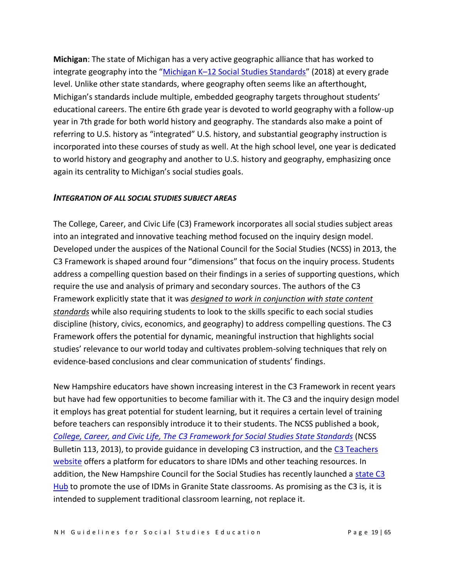**Michigan**: The state of Michigan has a very active geographic alliance that has worked to integrate geography into the "Michigan K–[12 Social Studies Standards](https://www.michigan.gov/documents/mde/SS_May_2018_Public_Final_622357_7.pdf)" (2018) at every grade level. Unlike other state standards, where geography often seems like an afterthought, Michigan's standards include multiple, embedded geography targets throughout students' educational careers. The entire 6th grade year is devoted to world geography with a follow-up year in 7th grade for both world history and geography. The standards also make a point of referring to U.S. history as "integrated" U.S. history, and substantial geography instruction is incorporated into these courses of study as well. At the high school level, one year is dedicated to world history and geography and another to U.S. history and geography, emphasizing once again its centrality to Michigan's social studies goals.

#### *INTEGRATION OF ALL SOCIAL STUDIES SUBJECT AREAS*

The College, Career, and Civic Life (C3) Framework incorporates all social studies subject areas into an integrated and innovative teaching method focused on the inquiry design model. Developed under the auspices of the National Council for the Social Studies (NCSS) in 2013, the C3 Framework is shaped around four "dimensions" that focus on the inquiry process. Students address a compelling question based on their findings in a series of supporting questions, which require the use and analysis of primary and secondary sources. The authors of the C3 Framework explicitly state that it was *designed to work in conjunction with state content standards* while also requiring students to look to the skills specific to each social studies discipline (history, civics, economics, and geography) to address compelling questions. The C3 Framework offers the potential for dynamic, meaningful instruction that highlights social studies' relevance to our world today and cultivates problem-solving techniques that rely on evidence-based conclusions and clear communication of students' findings.

New Hampshire educators have shown increasing interest in the C3 Framework in recent years but have had few opportunities to become familiar with it. The C3 and the inquiry design model it employs has great potential for student learning, but it requires a certain level of training before teachers can responsibly introduce it to their students. The NCSS published a book, *[College, Career, and Civic Life, The C3 Framework for Social Studies State Standards](https://www.socialstudies.org/sites/default/files/c3/c3-framework-for-social-studies-rev0617.pdf)* (NCSS Bulletin 113, 2013), to provide guidance in developing C3 instruction, and the [C3 Teachers](https://www.c3teachers.org/) [website](https://www.c3teachers.org/) offers a platform for educators to share IDMs and other teaching resources. In addition, the New Hampshire Council for the Social Studies has recently launched a [state C3](https://c3teachers.org/new-hampshire-hub/)  [Hub](https://c3teachers.org/new-hampshire-hub/) to promote the use of IDMs in Granite State classrooms. As promising as the C3 is, it is intended to supplement traditional classroom learning, not replace it.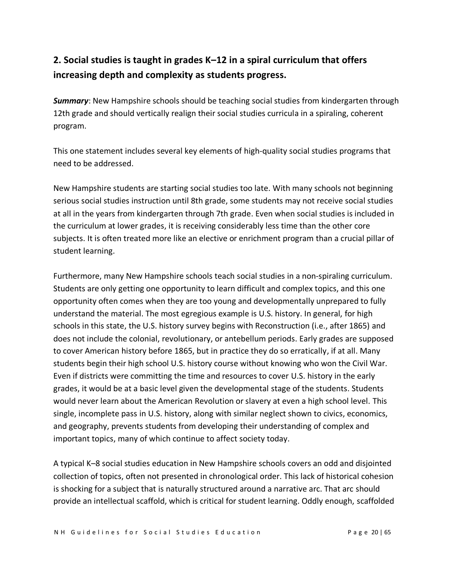# **2. Social studies is taught in grades K–12 in a spiral curriculum that offers increasing depth and complexity as students progress.**

*Summary*: New Hampshire schools should be teaching social studies from kindergarten through 12th grade and should vertically realign their social studies curricula in a spiraling, coherent program.

This one statement includes several key elements of high-quality social studies programs that need to be addressed.

New Hampshire students are starting social studies too late. With many schools not beginning serious social studies instruction until 8th grade, some students may not receive social studies at all in the years from kindergarten through 7th grade. Even when social studies is included in the curriculum at lower grades, it is receiving considerably less time than the other core subjects. It is often treated more like an elective or enrichment program than a crucial pillar of student learning.

Furthermore, many New Hampshire schools teach social studies in a non-spiraling curriculum. Students are only getting one opportunity to learn difficult and complex topics, and this one opportunity often comes when they are too young and developmentally unprepared to fully understand the material. The most egregious example is U.S. history. In general, for high schools in this state, the U.S. history survey begins with Reconstruction (i.e., after 1865) and does not include the colonial, revolutionary, or antebellum periods. Early grades are supposed to cover American history before 1865, but in practice they do so erratically, if at all. Many students begin their high school U.S. history course without knowing who won the Civil War. Even if districts were committing the time and resources to cover U.S. history in the early grades, it would be at a basic level given the developmental stage of the students. Students would never learn about the American Revolution or slavery at even a high school level. This single, incomplete pass in U.S. history, along with similar neglect shown to civics, economics, and geography, prevents students from developing their understanding of complex and important topics, many of which continue to affect society today.

A typical K–8 social studies education in New Hampshire schools covers an odd and disjointed collection of topics, often not presented in chronological order. This lack of historical cohesion is shocking for a subject that is naturally structured around a narrative arc. That arc should provide an intellectual scaffold, which is critical for student learning. Oddly enough, scaffolded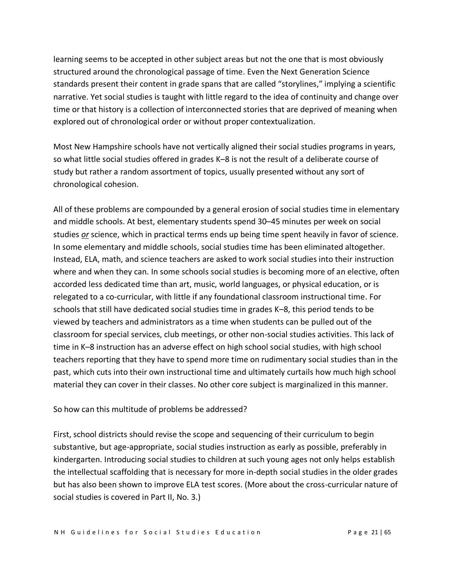learning seems to be accepted in other subject areas but not the one that is most obviously structured around the chronological passage of time. Even the Next Generation Science standards present their content in grade spans that are called "storylines," implying a scientific narrative. Yet social studies is taught with little regard to the idea of continuity and change over time or that history is a collection of interconnected stories that are deprived of meaning when explored out of chronological order or without proper contextualization.

Most New Hampshire schools have not vertically aligned their social studies programs in years, so what little social studies offered in grades K–8 is not the result of a deliberate course of study but rather a random assortment of topics, usually presented without any sort of chronological cohesion.

All of these problems are compounded by a general erosion of social studies time in elementary and middle schools. At best, elementary students spend 30–45 minutes per week on social studies *or* science, which in practical terms ends up being time spent heavily in favor of science. In some elementary and middle schools, social studies time has been eliminated altogether. Instead, ELA, math, and science teachers are asked to work social studies into their instruction where and when they can. In some schools social studies is becoming more of an elective, often accorded less dedicated time than art, music, world languages, or physical education, or is relegated to a co-curricular, with little if any foundational classroom instructional time. For schools that still have dedicated social studies time in grades K–8, this period tends to be viewed by teachers and administrators as a time when students can be pulled out of the classroom for special services, club meetings, or other non-social studies activities. This lack of time in K–8 instruction has an adverse effect on high school social studies, with high school teachers reporting that they have to spend more time on rudimentary social studies than in the past, which cuts into their own instructional time and ultimately curtails how much high school material they can cover in their classes. No other core subject is marginalized in this manner.

#### So how can this multitude of problems be addressed?

First, school districts should revise the scope and sequencing of their curriculum to begin substantive, but age-appropriate, social studies instruction as early as possible, preferably in kindergarten. Introducing social studies to children at such young ages not only helps establish the intellectual scaffolding that is necessary for more in-depth social studies in the older grades but has also been shown to improve ELA test scores. (More about the cross-curricular nature of social studies is covered in Part II, No. 3.)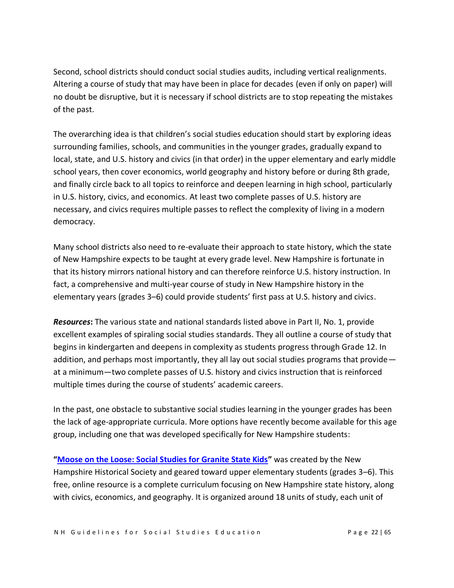Second, school districts should conduct social studies audits, including vertical realignments. Altering a course of study that may have been in place for decades (even if only on paper) will no doubt be disruptive, but it is necessary if school districts are to stop repeating the mistakes of the past.

The overarching idea is that children's social studies education should start by exploring ideas surrounding families, schools, and communities in the younger grades, gradually expand to local, state, and U.S. history and civics (in that order) in the upper elementary and early middle school years, then cover economics, world geography and history before or during 8th grade, and finally circle back to all topics to reinforce and deepen learning in high school, particularly in U.S. history, civics, and economics. At least two complete passes of U.S. history are necessary, and civics requires multiple passes to reflect the complexity of living in a modern democracy.

Many school districts also need to re-evaluate their approach to state history, which the state of New Hampshire expects to be taught at every grade level. New Hampshire is fortunate in that its history mirrors national history and can therefore reinforce U.S. history instruction. In fact, a comprehensive and multi-year course of study in New Hampshire history in the elementary years (grades 3–6) could provide students' first pass at U.S. history and civics.

*Resources***:** The various state and national standards listed above in Part II, No. 1, provide excellent examples of spiraling social studies standards. They all outline a course of study that begins in kindergarten and deepens in complexity as students progress through Grade 12. In addition, and perhaps most importantly, they all lay out social studies programs that provide at a minimum—two complete passes of U.S. history and civics instruction that is reinforced multiple times during the course of students' academic careers.

In the past, one obstacle to substantive social studies learning in the younger grades has been the lack of age-appropriate curricula. More options have recently become available for this age group, including one that was developed specifically for New Hampshire students:

**"Moose [on the Loose: Social Studies for Granite State Kids](https://moose.nhhistory.org/)"** was created by the New Hampshire Historical Society and geared toward upper elementary students (grades 3–6). This free, online resource is a complete curriculum focusing on New Hampshire state history, along with civics, economics, and geography. It is organized around 18 units of study, each unit of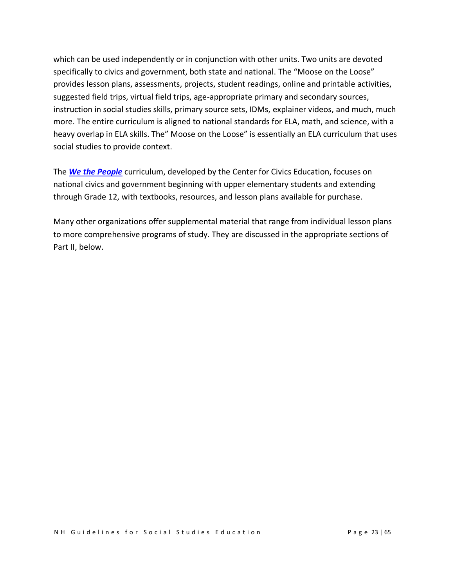which can be used independently or in conjunction with other units. Two units are devoted specifically to civics and government, both state and national. The "Moose on the Loose" provides lesson plans, assessments, projects, student readings, online and printable activities, suggested field trips, virtual field trips, age-appropriate primary and secondary sources, instruction in social studies skills, primary source sets, IDMs, explainer videos, and much, much more. The entire curriculum is aligned to national standards for ELA, math, and science, with a heavy overlap in ELA skills. The" Moose on the Loose" is essentially an ELA curriculum that uses social studies to provide context.

The *[We the People](https://www.civiced.org/we-the-people/curriculum)* curriculum, developed by the Center for Civics Education, focuses on national civics and government beginning with upper elementary students and extending through Grade 12, with textbooks, resources, and lesson plans available for purchase.

Many other organizations offer supplemental material that range from individual lesson plans to more comprehensive programs of study. They are discussed in the appropriate sections of Part II, below.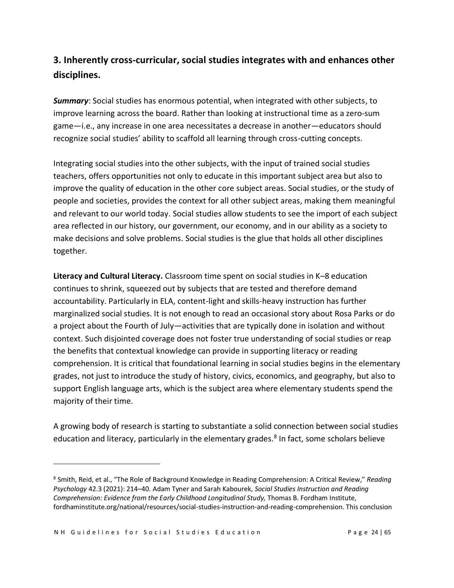## **3. Inherently cross-curricular, social studies integrates with and enhances other disciplines.**

*Summary*: Social studies has enormous potential, when integrated with other subjects, to improve learning across the board. Rather than looking at instructional time as a zero-sum game—i.e., any increase in one area necessitates a decrease in another—educators should recognize social studies' ability to scaffold all learning through cross-cutting concepts.

Integrating social studies into the other subjects, with the input of trained social studies teachers, offers opportunities not only to educate in this important subject area but also to improve the quality of education in the other core subject areas. Social studies, or the study of people and societies, provides the context for all other subject areas, making them meaningful and relevant to our world today. Social studies allow students to see the import of each subject area reflected in our history, our government, our economy, and in our ability as a society to make decisions and solve problems. Social studies is the glue that holds all other disciplines together.

**Literacy and Cultural Literacy.** Classroom time spent on social studies in K–8 education continues to shrink, squeezed out by subjects that are tested and therefore demand accountability. Particularly in ELA, content-light and skills-heavy instruction has further marginalized social studies. It is not enough to read an occasional story about Rosa Parks or do a project about the Fourth of July—activities that are typically done in isolation and without context. Such disjointed coverage does not foster true understanding of social studies or reap the benefits that contextual knowledge can provide in supporting literacy or reading comprehension. It is critical that foundational learning in social studies begins in the elementary grades, not just to introduce the study of history, civics, economics, and geography, but also to support English language arts, which is the subject area where elementary students spend the majority of their time.

A growing body of research is starting to substantiate a solid connection between social studies education and literacy, particularly in the elementary grades.<sup>8</sup> In fact, some scholars believe

<sup>8</sup> Smith, Reid, et al., "The Role of Background Knowledge in Reading Comprehension: A Critical Review," *Reading Psychology* 42.3 (2021): 214–40. Adam Tyner and Sarah Kabourek, *Social Studies Instruction and Reading Comprehension: Evidence from the Early Childhood Longitudinal Study,* Thomas B. Fordham Institute, fordhaminstitute.org/national/resources/social-studies-instruction-and-reading-comprehension. This conclusion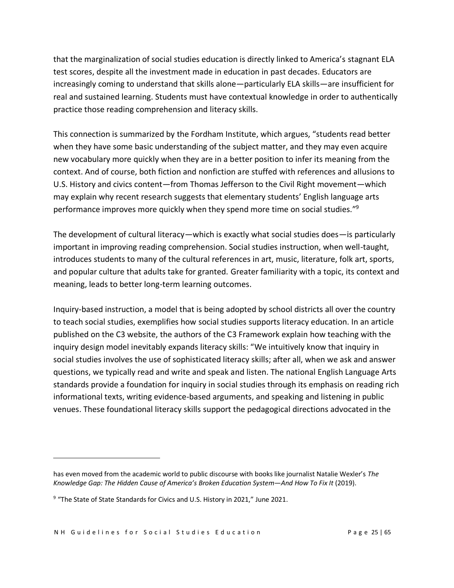that the marginalization of social studies education is directly linked to America's stagnant ELA test scores, despite all the investment made in education in past decades. Educators are increasingly coming to understand that skills alone—particularly ELA skills—are insufficient for real and sustained learning. Students must have contextual knowledge in order to authentically practice those reading comprehension and literacy skills.

This connection is summarized by the Fordham Institute, which argues, "students read better when they have some basic understanding of the subject matter, and they may even acquire new vocabulary more quickly when they are in a better position to infer its meaning from the context. And of course, both fiction and nonfiction are stuffed with references and allusions to U.S. History and civics content—from Thomas Jefferson to the Civil Right movement—which may explain why recent research suggests that elementary students' English language arts performance improves more quickly when they spend more time on social studies."<sup>9</sup>

The development of cultural literacy—which is exactly what social studies does—is particularly important in improving reading comprehension. Social studies instruction, when well-taught, introduces students to many of the cultural references in art, music, literature, folk art, sports, and popular culture that adults take for granted. Greater familiarity with a topic, its context and meaning, leads to better long-term learning outcomes.

Inquiry-based instruction, a model that is being adopted by school districts all over the country to teach social studies, exemplifies how social studies supports literacy education. In an article published on the C3 website, the authors of the C3 Framework explain how teaching with the inquiry design model inevitably expands literacy skills: "We intuitively know that inquiry in social studies involves the use of sophisticated literacy skills; after all, when we ask and answer questions, we typically read and write and speak and listen. The national English Language Arts standards provide a foundation for inquiry in social studies through its emphasis on reading rich informational texts, writing evidence-based arguments, and speaking and listening in public venues. These foundational literacy skills support the pedagogical directions advocated in the

has even moved from the academic world to public discourse with books like journalist Natalie Wexler's *The Knowledge Gap: The Hidden Cause of America's Broken Education System—And How To Fix It* (2019).

<sup>&</sup>lt;sup>9</sup> "The State of State Standards for Civics and U.S. History in 2021," June 2021.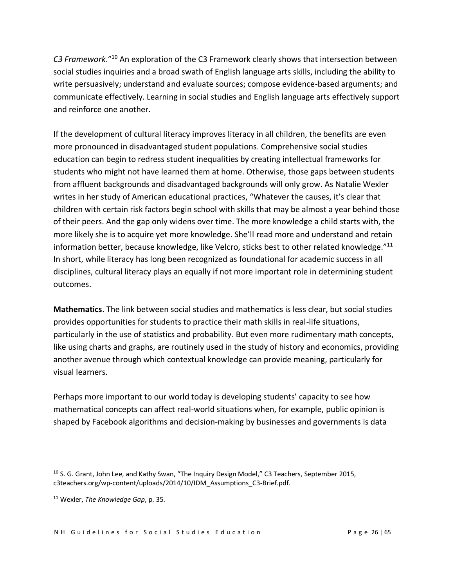*C3 Framework*." <sup>10</sup> An exploration of the C3 Framework clearly shows that intersection between social studies inquiries and a broad swath of English language arts skills, including the ability to write persuasively; understand and evaluate sources; compose evidence-based arguments; and communicate effectively. Learning in social studies and English language arts effectively support and reinforce one another.

If the development of cultural literacy improves literacy in all children, the benefits are even more pronounced in disadvantaged student populations. Comprehensive social studies education can begin to redress student inequalities by creating intellectual frameworks for students who might not have learned them at home. Otherwise, those gaps between students from affluent backgrounds and disadvantaged backgrounds will only grow. As Natalie Wexler writes in her study of American educational practices, "Whatever the causes, it's clear that children with certain risk factors begin school with skills that may be almost a year behind those of their peers. And the gap only widens over time. The more knowledge a child starts with, the more likely she is to acquire yet more knowledge. She'll read more and understand and retain information better, because knowledge, like Velcro, sticks best to other related knowledge. $"^{11}$ In short, while literacy has long been recognized as foundational for academic success in all disciplines, cultural literacy plays an equally if not more important role in determining student outcomes.

**Mathematics**. The link between social studies and mathematics is less clear, but social studies provides opportunities for students to practice their math skills in real-life situations, particularly in the use of statistics and probability. But even more rudimentary math concepts, like using charts and graphs, are routinely used in the study of history and economics, providing another avenue through which contextual knowledge can provide meaning, particularly for visual learners.

Perhaps more important to our world today is developing students' capacity to see how mathematical concepts can affect real-world situations when, for example, public opinion is shaped by Facebook algorithms and decision-making by businesses and governments is data

<sup>&</sup>lt;sup>10</sup> S. G. Grant, John Lee, and Kathy Swan, "The Inquiry Design Model," C3 Teachers, September 2015, c3teachers.org/wp-content/uploads/2014/10/IDM\_Assumptions\_C3-Brief.pdf.

<sup>11</sup> Wexler, *The Knowledge Gap*, p. 35.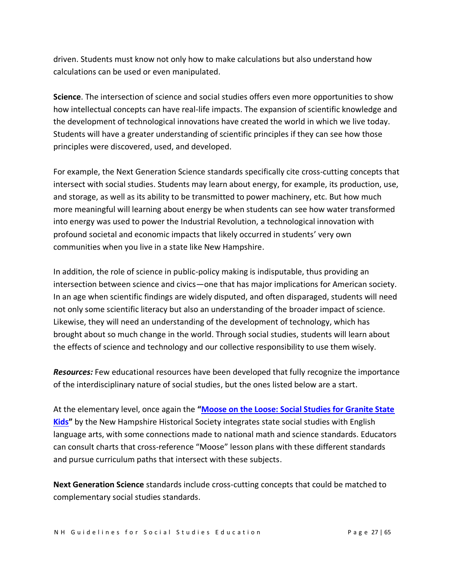driven. Students must know not only how to make calculations but also understand how calculations can be used or even manipulated.

**Science**. The intersection of science and social studies offers even more opportunities to show how intellectual concepts can have real-life impacts. The expansion of scientific knowledge and the development of technological innovations have created the world in which we live today. Students will have a greater understanding of scientific principles if they can see how those principles were discovered, used, and developed.

For example, the Next Generation Science standards specifically cite cross-cutting concepts that intersect with social studies. Students may learn about energy, for example, its production, use, and storage, as well as its ability to be transmitted to power machinery, etc. But how much more meaningful will learning about energy be when students can see how water transformed into energy was used to power the Industrial Revolution, a technological innovation with profound societal and economic impacts that likely occurred in students' very own communities when you live in a state like New Hampshire.

In addition, the role of science in public-policy making is indisputable, thus providing an intersection between science and civics—one that has major implications for American society. In an age when scientific findings are widely disputed, and often disparaged, students will need not only some scientific literacy but also an understanding of the broader impact of science. Likewise, they will need an understanding of the development of technology, which has brought about so much change in the world. Through social studies, students will learn about the effects of science and technology and our collective responsibility to use them wisely.

*Resources:* Few educational resources have been developed that fully recognize the importance of the interdisciplinary nature of social studies, but the ones listed below are a start.

At the elementary level, once again the **"[Moose on the Loose: Social Studies for Granite State](https://moose.nhhistory.org/)  [Kids](https://moose.nhhistory.org/)"** by the New Hampshire Historical Society integrates state social studies with English language arts, with some connections made to national math and science standards. Educators can consult charts that cross-reference "Moose" lesson plans with these different standards and pursue curriculum paths that intersect with these subjects.

**Next Generation Science** standards include cross-cutting concepts that could be matched to complementary social studies standards.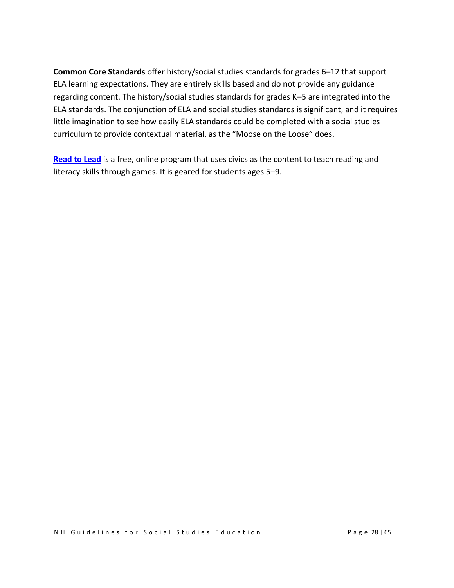**Common Core Standards** offer history/social studies standards for grades 6–12 that support ELA learning expectations. They are entirely skills based and do not provide any guidance regarding content. The history/social studies standards for grades K–5 are integrated into the ELA standards. The conjunction of ELA and social studies standards is significant, and it requires little imagination to see how easily ELA standards could be completed with a social studies curriculum to provide contextual material, as the "Moose on the Loose" does.

**[Read to Lead](https://readtolead.org/)** is a free, online program that uses civics as the content to teach reading and literacy skills through games. It is geared for students ages 5–9.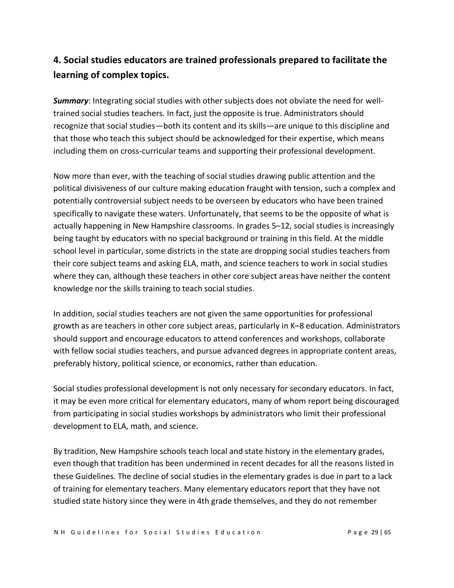## **4. Social studies educators are trained professionals prepared to facilitate the learning of complex topics.**

*Summary*: Integrating social studies with other subjects does not obviate the need for welltrained social studies teachers. In fact, just the opposite is true. Administrators should recognize that social studies—both its content and its skills—are unique to this discipline and that those who teach this subject should be acknowledged for their expertise, which means including them on cross-curricular teams and supporting their professional development.

Now more than ever, with the teaching of social studies drawing public attention and the political divisiveness of our culture making education fraught with tension, such a complex and potentially controversial subject needs to be overseen by educators who have been trained specifically to navigate these waters. Unfortunately, that seems to be the opposite of what is actually happening in New Hampshire classrooms. In grades 5–12, social studies is increasingly being taught by educators with no special background or training in this field. At the middle school level in particular, some districts in the state are dropping social studies teachers from their core subject teams and asking ELA, math, and science teachers to work in social studies where they can, although these teachers in other core subject areas have neither the content knowledge nor the skills training to teach social studies.

In addition, social studies teachers are not given the same opportunities for professional growth as are teachers in other core subject areas, particularly in K–8 education. Administrators should support and encourage educators to attend conferences and workshops, collaborate with fellow social studies teachers, and pursue advanced degrees in appropriate content areas, preferably history, political science, or economics, rather than education.

Social studies professional development is not only necessary for secondary educators. In fact, it may be even more critical for elementary educators, many of whom report being discouraged from participating in social studies workshops by administrators who limit their professional development to ELA, math, and science.

By tradition, New Hampshire schools teach local and state history in the elementary grades, even though that tradition has been undermined in recent decades for all the reasons listed in these Guidelines. The decline of social studies in the elementary grades is due in part to a lack of training for elementary teachers. Many elementary educators report that they have not studied state history since they were in 4th grade themselves, and they do not remember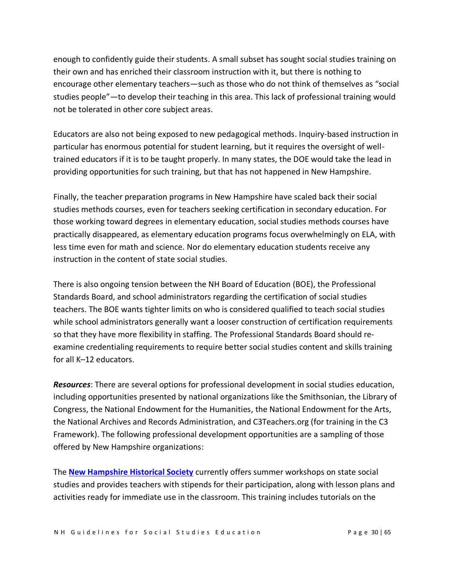enough to confidently guide their students. A small subset has sought social studies training on their own and has enriched their classroom instruction with it, but there is nothing to encourage other elementary teachers—such as those who do not think of themselves as "social studies people"—to develop their teaching in this area. This lack of professional training would not be tolerated in other core subject areas.

Educators are also not being exposed to new pedagogical methods. Inquiry-based instruction in particular has enormous potential for student learning, but it requires the oversight of welltrained educators if it is to be taught properly. In many states, the DOE would take the lead in providing opportunities for such training, but that has not happened in New Hampshire.

Finally, the teacher preparation programs in New Hampshire have scaled back their social studies methods courses, even for teachers seeking certification in secondary education. For those working toward degrees in elementary education, social studies methods courses have practically disappeared, as elementary education programs focus overwhelmingly on ELA, with less time even for math and science. Nor do elementary education students receive any instruction in the content of state social studies.

There is also ongoing tension between the NH Board of Education (BOE), the Professional Standards Board, and school administrators regarding the certification of social studies teachers. The BOE wants tighter limits on who is considered qualified to teach social studies while school administrators generally want a looser construction of certification requirements so that they have more flexibility in staffing. The Professional Standards Board should reexamine credentialing requirements to require better social studies content and skills training for all K–12 educators.

*Resources*: There are several options for professional development in social studies education, including opportunities presented by national organizations like the Smithsonian, the Library of Congress, the National Endowment for the Humanities, the National Endowment for the Arts, the National Archives and Records Administration, and C3Teachers.org (for training in the C3 Framework). The following professional development opportunities are a sampling of those offered by New Hampshire organizations:

The **[New Hampshire Historical Society](https://nhhistory.org/)** currently offers summer workshops on state social studies and provides teachers with stipends for their participation, along with lesson plans and activities ready for immediate use in the classroom. This training includes tutorials on the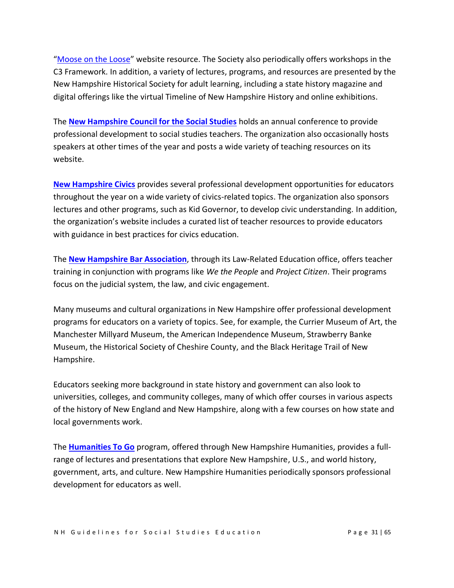"[Moose on the Loose](https://moose.nhhistory.org/)" website resource. The Society also periodically offers workshops in the C3 Framework. In addition, a variety of lectures, programs, and resources are presented by the New Hampshire Historical Society for adult learning, including a state history magazine and digital offerings like the virtual Timeline of New Hampshire History and online exhibitions.

The **[New Hampshire Council for the Social Studies](https://www.nhscc.org/)** holds an annual conference to provide professional development to social studies teachers. The organization also occasionally hosts speakers at other times of the year and posts a wide variety of teaching resources on its website.

**[New Hampshire Civics](https://www.nhcivics.org/)** provides several professional development opportunities for educators throughout the year on a wide variety of civics-related topics. The organization also sponsors lectures and other programs, such as Kid Governor, to develop civic understanding. In addition, the organization's website includes a curated list of teacher resources to provide educators with guidance in best practices for civics education.

The **[New Hampshire Bar Association](https://www.nhbar.org/law-related-education/)**, through its Law-Related Education office, offers teacher training in conjunction with programs like *We the People* and *Project Citizen*. Their programs focus on the judicial system, the law, and civic engagement.

Many museums and cultural organizations in New Hampshire offer professional development programs for educators on a variety of topics. See, for example, the Currier Museum of Art, the Manchester Millyard Museum, the American Independence Museum, Strawberry Banke Museum, the Historical Society of Cheshire County, and the Black Heritage Trail of New Hampshire.

Educators seeking more background in state history and government can also look to universities, colleges, and community colleges, many of which offer courses in various aspects of the history of New England and New Hampshire, along with a few courses on how state and local governments work.

The **[Humanities To Go](https://www.nhhumanities.org/)** program, offered through New Hampshire Humanities, provides a fullrange of lectures and presentations that explore New Hampshire, U.S., and world history, government, arts, and culture. New Hampshire Humanities periodically sponsors professional development for educators as well.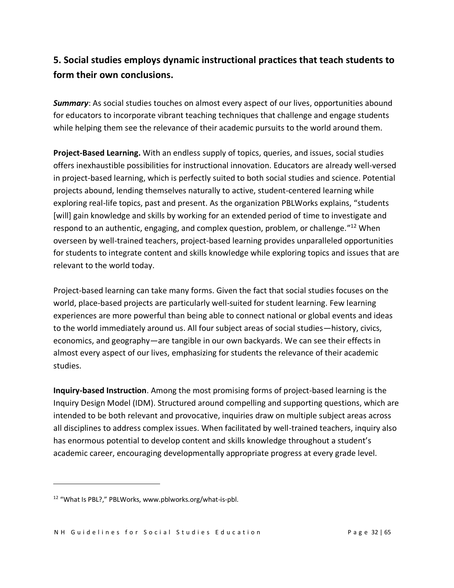## **5. Social studies employs dynamic instructional practices that teach students to form their own conclusions.**

*Summary*: As social studies touches on almost every aspect of our lives, opportunities abound for educators to incorporate vibrant teaching techniques that challenge and engage students while helping them see the relevance of their academic pursuits to the world around them.

**Project-Based Learning.** With an endless supply of topics, queries, and issues, social studies offers inexhaustible possibilities for instructional innovation. Educators are already well-versed in project-based learning, which is perfectly suited to both social studies and science. Potential projects abound, lending themselves naturally to active, student-centered learning while exploring real-life topics, past and present. As the organization PBLWorks explains, "students [will] gain knowledge and skills by working for an extended period of time to investigate and respond to an authentic, engaging, and complex question, problem, or challenge."<sup>12</sup> When overseen by well-trained teachers, project-based learning provides unparalleled opportunities for students to integrate content and skills knowledge while exploring topics and issues that are relevant to the world today.

Project-based learning can take many forms. Given the fact that social studies focuses on the world, place-based projects are particularly well-suited for student learning. Few learning experiences are more powerful than being able to connect national or global events and ideas to the world immediately around us. All four subject areas of social studies—history, civics, economics, and geography—are tangible in our own backyards. We can see their effects in almost every aspect of our lives, emphasizing for students the relevance of their academic studies.

**Inquiry-based Instruction**. Among the most promising forms of project-based learning is the Inquiry Design Model (IDM). Structured around compelling and supporting questions, which are intended to be both relevant and provocative, inquiries draw on multiple subject areas across all disciplines to address complex issues. When facilitated by well-trained teachers, inquiry also has enormous potential to develop content and skills knowledge throughout a student's academic career, encouraging developmentally appropriate progress at every grade level.

<sup>12</sup> "What Is PBL?," PBLWorks, www.pblworks.org/what-is-pbl.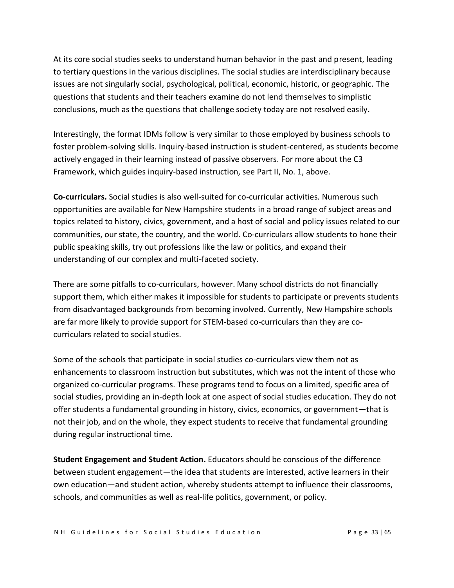At its core social studies seeks to understand human behavior in the past and present, leading to tertiary questions in the various disciplines. The social studies are interdisciplinary because issues are not singularly social, psychological, political, economic, historic, or geographic. The questions that students and their teachers examine do not lend themselves to simplistic conclusions, much as the questions that challenge society today are not resolved easily.

Interestingly, the format IDMs follow is very similar to those employed by business schools to foster problem-solving skills. Inquiry-based instruction is student-centered, as students become actively engaged in their learning instead of passive observers. For more about the C3 Framework, which guides inquiry-based instruction, see Part II, No. 1, above.

**Co-curriculars.** Social studies is also well-suited for co-curricular activities. Numerous such opportunities are available for New Hampshire students in a broad range of subject areas and topics related to history, civics, government, and a host of social and policy issues related to our communities, our state, the country, and the world. Co-curriculars allow students to hone their public speaking skills, try out professions like the law or politics, and expand their understanding of our complex and multi-faceted society.

There are some pitfalls to co-curriculars, however. Many school districts do not financially support them, which either makes it impossible for students to participate or prevents students from disadvantaged backgrounds from becoming involved. Currently, New Hampshire schools are far more likely to provide support for STEM-based co-curriculars than they are cocurriculars related to social studies.

Some of the schools that participate in social studies co-curriculars view them not as enhancements to classroom instruction but substitutes, which was not the intent of those who organized co-curricular programs. These programs tend to focus on a limited, specific area of social studies, providing an in-depth look at one aspect of social studies education. They do not offer students a fundamental grounding in history, civics, economics, or government—that is not their job, and on the whole, they expect students to receive that fundamental grounding during regular instructional time.

**Student Engagement and Student Action.** Educators should be conscious of the difference between student engagement—the idea that students are interested, active learners in their own education—and student action, whereby students attempt to influence their classrooms, schools, and communities as well as real-life politics, government, or policy.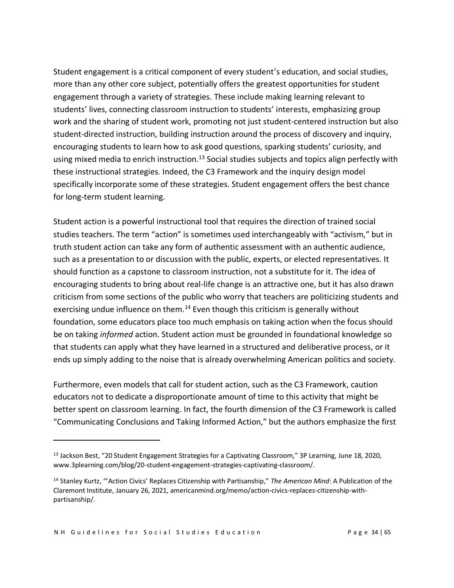Student engagement is a critical component of every student's education, and social studies, more than any other core subject, potentially offers the greatest opportunities for student engagement through a variety of strategies. These include making learning relevant to students' lives, connecting classroom instruction to students' interests, emphasizing group work and the sharing of student work, promoting not just student-centered instruction but also student-directed instruction, building instruction around the process of discovery and inquiry, encouraging students to learn how to ask good questions, sparking students' curiosity, and using mixed media to enrich instruction.<sup>13</sup> Social studies subjects and topics align perfectly with these instructional strategies. Indeed, the C3 Framework and the inquiry design model specifically incorporate some of these strategies. Student engagement offers the best chance for long-term student learning.

Student action is a powerful instructional tool that requires the direction of trained social studies teachers. The term "action" is sometimes used interchangeably with "activism," but in truth student action can take any form of authentic assessment with an authentic audience, such as a presentation to or discussion with the public, experts, or elected representatives. It should function as a capstone to classroom instruction, not a substitute for it. The idea of encouraging students to bring about real-life change is an attractive one, but it has also drawn criticism from some sections of the public who worry that teachers are politicizing students and exercising undue influence on them.<sup>14</sup> Even though this criticism is generally without foundation, some educators place too much emphasis on taking action when the focus should be on taking *informed* action. Student action must be grounded in foundational knowledge so that students can apply what they have learned in a structured and deliberative process, or it ends up simply adding to the noise that is already overwhelming American politics and society.

Furthermore, even models that call for student action, such as the C3 Framework, caution educators not to dedicate a disproportionate amount of time to this activity that might be better spent on classroom learning. In fact, the fourth dimension of the C3 Framework is called "Communicating Conclusions and Taking Informed Action," but the authors emphasize the first

<sup>&</sup>lt;sup>13</sup> Jackson Best, "20 Student Engagement Strategies for a Captivating Classroom," 3P Learning, June 18, 2020, www.3plearning.com/blog/20-student-engagement-strategies-captivating-classroom/.

<sup>14</sup> Stanley Kurtz, "'Action Civics' Replaces Citizenship with Partisanship," *The American Mind*: A Publication of the Claremont Institute, January 26, 2021, americanmind.org/memo/action-civics-replaces-citizenship-withpartisanship/.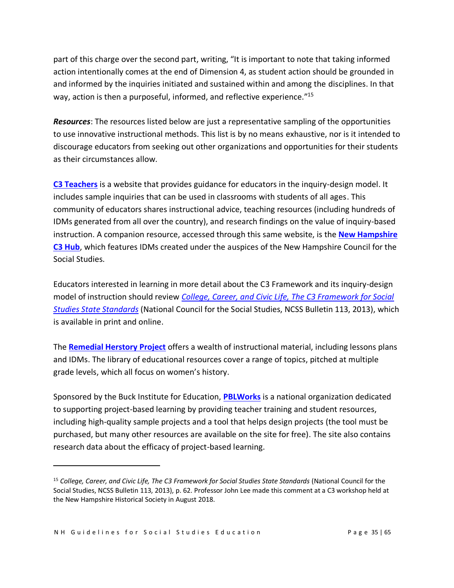part of this charge over the second part, writing, "It is important to note that taking informed action intentionally comes at the end of Dimension 4, as student action should be grounded in and informed by the inquiries initiated and sustained within and among the disciplines. In that way, action is then a purposeful, informed, and reflective experience."<sup>15</sup>

*Resources*: The resources listed below are just a representative sampling of the opportunities to use innovative instructional methods. This list is by no means exhaustive, nor is it intended to discourage educators from seeking out other organizations and opportunities for their students as their circumstances allow.

**[C3 Teachers](https://www.c3teachers.org/)** is a website that provides guidance for educators in the inquiry-design model. It includes sample inquiries that can be used in classrooms with students of all ages. This community of educators shares instructional advice, teaching resources (including hundreds of IDMs generated from all over the country), and research findings on the value of inquiry-based instruction. A companion resource, accessed through this same website, is the **[New Hampshire](https://c3teachers.org/new-hampshire-hub/)  [C3 Hub](https://c3teachers.org/new-hampshire-hub/)**, which features IDMs created under the auspices of the New Hampshire Council for the Social Studies.

Educators interested in learning in more detail about the C3 Framework and its inquiry-design model of instruction should review *[College, Career, and Civic Life, The C3 Framework for Social](https://www.socialstudies.org/sites/default/files/c3/c3-framework-for-social-studies-rev0617.pdf)  [Studies State Standards](https://www.socialstudies.org/sites/default/files/c3/c3-framework-for-social-studies-rev0617.pdf)* (National Council for the Social Studies, NCSS Bulletin 113, 2013), which is available in print and online.

The **[Remedial Herstory Project](https://www.remedialherstory.com/)** offers a wealth of instructional material, including lessons plans and IDMs. The library of educational resources cover a range of topics, pitched at multiple grade levels, which all focus on women's history.

Sponsored by the Buck Institute for Education, **[PBLWorks](https://www.pblworks.org/)** is a national organization dedicated to supporting project-based learning by providing teacher training and student resources, including high-quality sample projects and a tool that helps design projects (the tool must be purchased, but many other resources are available on the site for free). The site also contains research data about the efficacy of project-based learning.

<sup>15</sup> *College, Career, and Civic Life, The C3 Framework for Social Studies State Standards* (National Council for the Social Studies, NCSS Bulletin 113, 2013), p. 62. Professor John Lee made this comment at a C3 workshop held at the New Hampshire Historical Society in August 2018.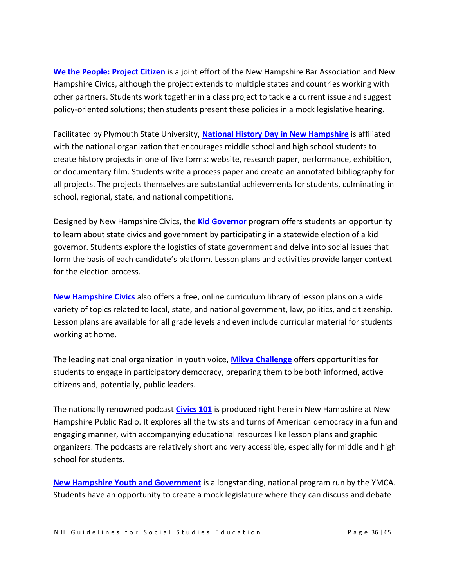**[We the People: Project Citizen](https://www.nhbar.org/civics-education/project-citizen/)** is a joint effort of the New Hampshire Bar Association and New Hampshire Civics, although the project extends to multiple states and countries working with other partners. Students work together in a class project to tackle a current issue and suggest policy-oriented solutions; then students present these policies in a mock legislative hearing.

Facilitated by Plymouth State University, **[National History Day](https://nhdnh.weebly.com/) in New Hampshire** is affiliated with the national organization that encourages middle school and high school students to create history projects in one of five forms: website, research paper, performance, exhibition, or documentary film. Students write a process paper and create an annotated bibliography for all projects. The projects themselves are substantial achievements for students, culminating in school, regional, state, and national competitions.

Designed by New Hampshire Civics, the **[Kid Governor](http://nh.kidgovernor.org/)** program offers students an opportunity to learn about state civics and government by participating in a statewide election of a kid governor. Students explore the logistics of state government and delve into social issues that form the basis of each candidate's platform. Lesson plans and activities provide larger context for the election process.

**[New Hampshire Civics](https://www.nhcivics.org/curriculum-library/)** also offers a free, online curriculum library of lesson plans on a wide variety of topics related to local, state, and national government, law, politics, and citizenship. Lesson plans are available for all grade levels and even include curricular material for students working at home.

The leading national organization in youth voice, **[Mikva Challenge](https://mikvachallenge.org/)** offers opportunities for students to engage in participatory democracy, preparing them to be both informed, active citizens and, potentially, public leaders.

The nationally renowned podcast **[Civics 101](https://www.civics101podcast.org/lessonplans)** is produced right here in New Hampshire at New Hampshire Public Radio. It explores all the twists and turns of American democracy in a fun and engaging manner, with accompanying educational resources like lesson plans and graphic organizers. The podcasts are relatively short and very accessible, especially for middle and high school for students.

**[New Hampshire Youth and Government](https://nneymcas.org/nh-youth-and-government/)** is a longstanding, national program run by the YMCA. Students have an opportunity to create a mock legislature where they can discuss and debate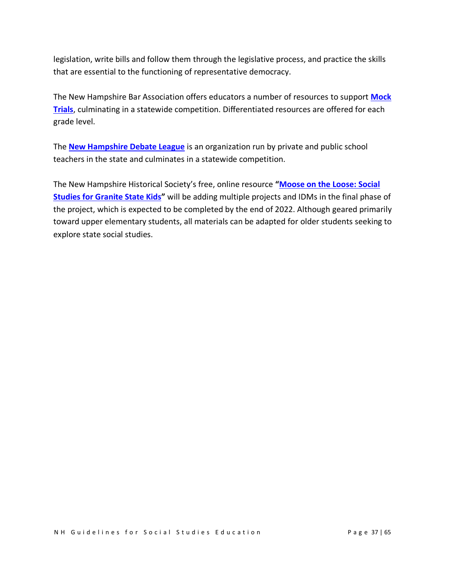legislation, write bills and follow them through the legislative process, and practice the skills that are essential to the functioning of representative democracy.

The New Hampshire Bar Association offers educators a number of resources to support **[Mock](https://www.nhbar.org/civics-education/mock-trial/)  [Trials](https://www.nhbar.org/civics-education/mock-trial/)**, culminating in a statewide competition. Differentiated resources are offered for each grade level.

The **[New Hampshire Debate League](https://www.nhdebate.org/)** is an organization run by private and public school teachers in the state and culminates in a statewide competition.

The New Hampshire Historical Society's free, online resource **"[Moose on the Loose: Social](https://moose.nhhistory.org/)  [Studies for Granite State Kids](https://moose.nhhistory.org/)"** will be adding multiple projects and IDMs in the final phase of the project, which is expected to be completed by the end of 2022. Although geared primarily toward upper elementary students, all materials can be adapted for older students seeking to explore state social studies.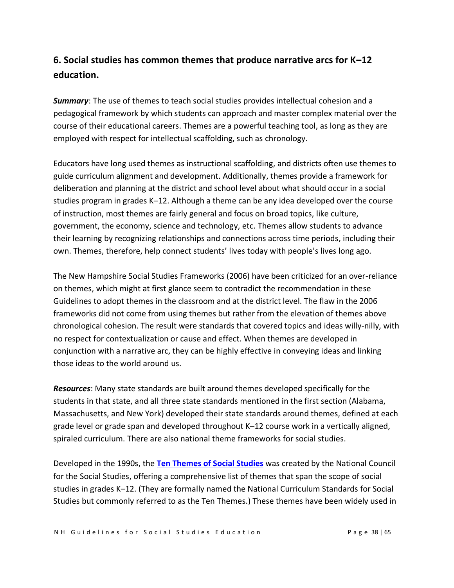## **6. Social studies has common themes that produce narrative arcs for K–12 education.**

*Summary*: The use of themes to teach social studies provides intellectual cohesion and a pedagogical framework by which students can approach and master complex material over the course of their educational careers. Themes are a powerful teaching tool, as long as they are employed with respect for intellectual scaffolding, such as chronology.

Educators have long used themes as instructional scaffolding, and districts often use themes to guide curriculum alignment and development. Additionally, themes provide a framework for deliberation and planning at the district and school level about what should occur in a social studies program in grades K–12. Although a theme can be any idea developed over the course of instruction, most themes are fairly general and focus on broad topics, like culture, government, the economy, science and technology, etc. Themes allow students to advance their learning by recognizing relationships and connections across time periods, including their own. Themes, therefore, help connect students' lives today with people's lives long ago.

The New Hampshire Social Studies Frameworks (2006) have been criticized for an over-reliance on themes, which might at first glance seem to contradict the recommendation in these Guidelines to adopt themes in the classroom and at the district level. The flaw in the 2006 frameworks did not come from using themes but rather from the elevation of themes above chronological cohesion. The result were standards that covered topics and ideas willy-nilly, with no respect for contextualization or cause and effect. When themes are developed in conjunction with a narrative arc, they can be highly effective in conveying ideas and linking those ideas to the world around us.

*Resources*: Many state standards are built around themes developed specifically for the students in that state, and all three state standards mentioned in the first section (Alabama, Massachusetts, and New York) developed their state standards around themes, defined at each grade level or grade span and developed throughout K–12 course work in a vertically aligned, spiraled curriculum. There are also national theme frameworks for social studies.

Developed in the 1990s, the **[Ten Themes of Social Studies](https://www.socialstudies.org/standards/national-curriculum-standards-social-studies-introduction)** was created by the [National Council](https://www.socialstudies.org/national-curriculum-standards-social-studies-chapter-2-themes-social-studies)  [for the Social Studies,](https://www.socialstudies.org/national-curriculum-standards-social-studies-chapter-2-themes-social-studies) offering a comprehensive list of themes that span the scope of social studies in grades K–12. (They are formally named the National Curriculum Standards for Social Studies but commonly referred to as the Ten Themes.) These themes have been widely used in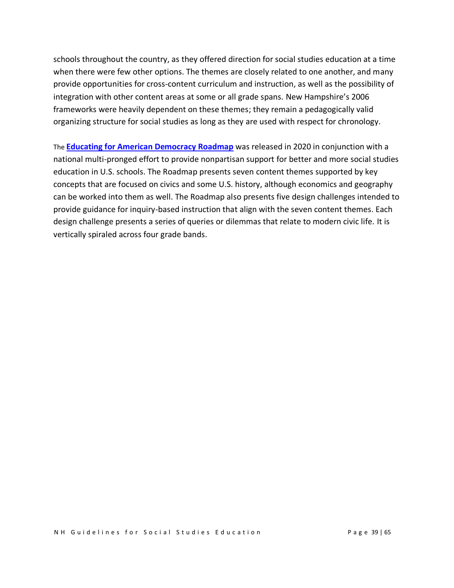schools throughout the country, as they offered direction for social studies education at a time when there were few other options. The themes are closely related to one another, and many provide opportunities for cross-content curriculum and instruction, as well as the possibility of integration with other content areas at some or all grade spans. New Hampshire's 2006 frameworks were heavily dependent on these themes; they remain a pedagogically valid organizing structure for social studies as long as they are used with respect for chronology.

The **[Educating for American Democracy](https://www.educatingforamericandemocracy.org/) [Roadmap](https://www.educatingforamericandemocracy.org/)** was released in 2020 in conjunction with a national multi-pronged effort to provide nonpartisan support for better and more social studies education in U.S. schools. The Roadmap presents seven content themes supported by key concepts that are focused on civics and some U.S. history, although economics and geography can be worked into them as well. The Roadmap also presents five design challenges intended to provide guidance for inquiry-based instruction that align with the seven content themes. Each design challenge presents a series of queries or dilemmas that relate to modern civic life. It is vertically spiraled across four grade bands.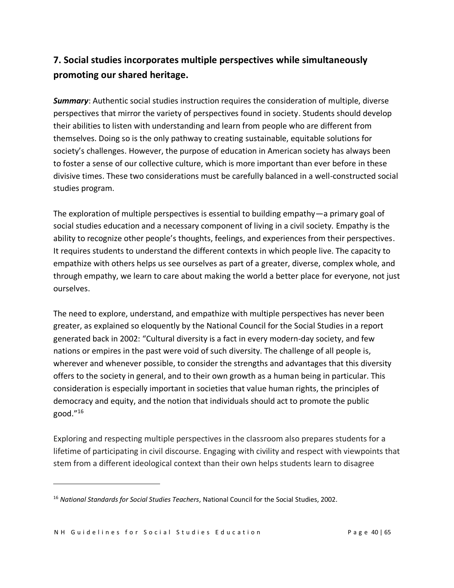# **7. Social studies incorporates multiple perspectives while simultaneously promoting our shared heritage.**

*Summary*: Authentic social studies instruction requires the consideration of multiple, diverse perspectives that mirror the variety of perspectives found in society. Students should develop their abilities to listen with understanding and learn from people who are different from themselves. Doing so is the only pathway to creating sustainable, equitable solutions for society's challenges. However, the purpose of education in American society has always been to foster a sense of our collective culture, which is more important than ever before in these divisive times. These two considerations must be carefully balanced in a well-constructed social studies program.

The exploration of multiple perspectives is essential to building empathy—a primary goal of social studies education and a necessary component of living in a civil society. Empathy is the ability to recognize other people's thoughts, feelings, and experiences from their perspectives. It requires students to understand the different contexts in which people live. The capacity to empathize with others helps us see ourselves as part of a greater, diverse, complex whole, and through empathy, we learn to care about making the world a better place for everyone, not just ourselves.

The need to explore, understand, and empathize with multiple perspectives has never been greater, as explained so eloquently by the National Council for the Social Studies in a report generated back in 2002: "Cultural diversity is a fact in every modern-day society, and few nations or empires in the past were void of such diversity. The challenge of all people is, wherever and whenever possible, to consider the strengths and advantages that this diversity offers to the society in general, and to their own growth as a human being in particular. This consideration is especially important in societies that value human rights, the principles of democracy and equity, and the notion that individuals should act to promote the public good." 16

Exploring and respecting multiple perspectives in the classroom also prepares students for a lifetime of participating in civil discourse. Engaging with civility and respect with viewpoints that stem from a different ideological context than their own helps students learn to disagree

<sup>16</sup> *National Standards for Social Studies Teachers*, National Council for the Social Studies, 2002.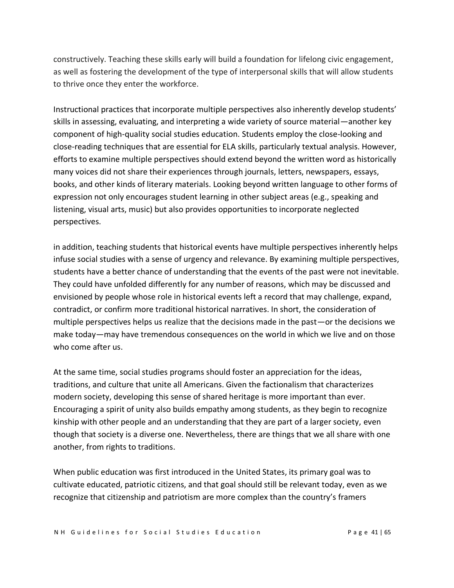constructively. Teaching these skills early will build a foundation for lifelong civic engagement, as well as fostering the development of the type of interpersonal skills that will allow students to thrive once they enter the workforce.

Instructional practices that incorporate multiple perspectives also inherently develop students' skills in assessing, evaluating, and interpreting a wide variety of source material—another key component of high-quality social studies education. Students employ the close-looking and close-reading techniques that are essential for ELA skills, particularly textual analysis. However, efforts to examine multiple perspectives should extend beyond the written word as historically many voices did not share their experiences through journals, letters, newspapers, essays, books, and other kinds of literary materials. Looking beyond written language to other forms of expression not only encourages student learning in other subject areas (e.g., speaking and listening, visual arts, music) but also provides opportunities to incorporate neglected perspectives.

in addition, teaching students that historical events have multiple perspectives inherently helps infuse social studies with a sense of urgency and relevance. By examining multiple perspectives, students have a better chance of understanding that the events of the past were not inevitable. They could have unfolded differently for any number of reasons, which may be discussed and envisioned by people whose role in historical events left a record that may challenge, expand, contradict, or confirm more traditional historical narratives. In short, the consideration of multiple perspectives helps us realize that the decisions made in the past—or the decisions we make today—may have tremendous consequences on the world in which we live and on those who come after us.

At the same time, social studies programs should foster an appreciation for the ideas, traditions, and culture that unite all Americans. Given the factionalism that characterizes modern society, developing this sense of shared heritage is more important than ever. Encouraging a spirit of unity also builds empathy among students, as they begin to recognize kinship with other people and an understanding that they are part of a larger society, even though that society is a diverse one. Nevertheless, there are things that we all share with one another, from rights to traditions.

When public education was first introduced in the United States, its primary goal was to cultivate educated, patriotic citizens, and that goal should still be relevant today, even as we recognize that citizenship and patriotism are more complex than the country's framers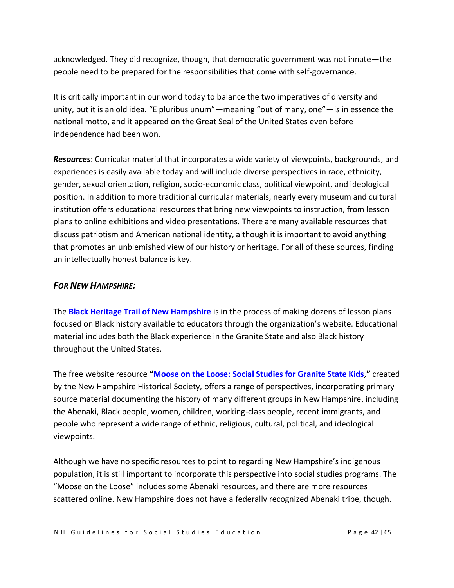acknowledged. They did recognize, though, that democratic government was not innate—the people need to be prepared for the responsibilities that come with self-governance.

It is critically important in our world today to balance the two imperatives of diversity and unity, but it is an old idea. "E pluribus unum"—meaning "out of many, one"—is in essence the national motto, and it appeared on the Great Seal of the United States even before independence had been won.

*Resources*: Curricular material that incorporates a wide variety of viewpoints, backgrounds, and experiences is easily available today and will include diverse perspectives in race, ethnicity, gender, sexual orientation, religion, socio-economic class, political viewpoint, and ideological position. In addition to more traditional curricular materials, nearly every museum and cultural institution offers educational resources that bring new viewpoints to instruction, from lesson plans to online exhibitions and video presentations. There are many available resources that discuss patriotism and American national identity, although it is important to avoid anything that promotes an unblemished view of our history or heritage. For all of these sources, finding an intellectually honest balance is key.

#### *FOR NEW HAMPSHIRE:*

The **[Black Heritage Trail of New Hampshire](https://blackheritagetrailnh.org/)** is in the process of making dozens of lesson plans focused on Black history available to educators through the organization's website. Educational material includes both the Black experience in the Granite State and also Black history throughout the United States.

The free website resource **"[Moose on the Loose: Social Studies for Granite State Kids](https://moose.nhhistory.org/)**,**"** created by the New Hampshire Historical Society, offers a range of perspectives, incorporating primary source material documenting the history of many different groups in New Hampshire, including the Abenaki, Black people, women, children, working-class people, recent immigrants, and people who represent a wide range of ethnic, religious, cultural, political, and ideological viewpoints.

Although we have no specific resources to point to regarding New Hampshire's indigenous population, it is still important to incorporate this perspective into social studies programs. The "Moose on the Loose" includes some Abenaki resources, and there are more resources scattered online. New Hampshire does not have a federally recognized Abenaki tribe, though.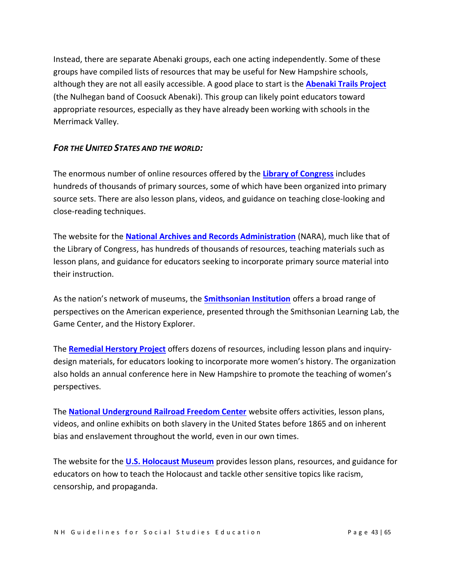Instead, there are separate Abenaki groups, each one acting independently. Some of these groups have compiled lists of resources that may be useful for New Hampshire schools, although they are not all easily accessible. A good place to start is the **[Abenaki Trails Project](https://abenakitribe.org/abenaki-trails-project)** (the Nulhegan band of Coosuck Abenaki). This group can likely point educators toward appropriate resources, especially as they have already been working with schools in the Merrimack Valley.

#### *FOR THE UNITED STATES AND THE WORLD:*

The enormous number of online resources offered by the **[Library of Congress](https://www.loc.gov/programs/teachers/about-this-program/)** includes hundreds of thousands of primary sources, some of which have been organized into primary source sets. There are also lesson plans, videos, and guidance on teaching close-looking and close-reading techniques.

The website for the **[National Archives and Records Administration](https://www.archives.gov/education)** (NARA), much like that of the Library of Congress, has hundreds of thousands of resources, teaching materials such as lesson plans, and guidance for educators seeking to incorporate primary source material into their instruction.

As the nation's network of museums, the **[Smithsonian Institution](https://www.si.edu/educators/resources)** offers a broad range of perspectives on the American experience, presented through the Smithsonian Learning Lab, the Game Center, and the History Explorer.

The **[Remedial Herstory Project](https://www.remedialherstory.com/)** offers dozens of resources, including lesson plans and inquirydesign materials, for educators looking to incorporate more women's history. The organization also holds an annual conference here in New Hampshire to promote the teaching of women's perspectives.

The **[National Underground Railroad Freedom Center](https://freedomcenter.org/learn/online-learning-resources/)** website offers activities, lesson plans, videos, and online exhibits on both slavery in the United States before 1865 and on inherent bias and enslavement throughout the world, even in our own times.

The website for the **[U.S. Holocaust Museum](https://www.ushmm.org/teach/teaching-materials)** provides lesson plans, resources, and guidance for educators on how to teach the Holocaust and tackle other sensitive topics like racism, censorship, and propaganda.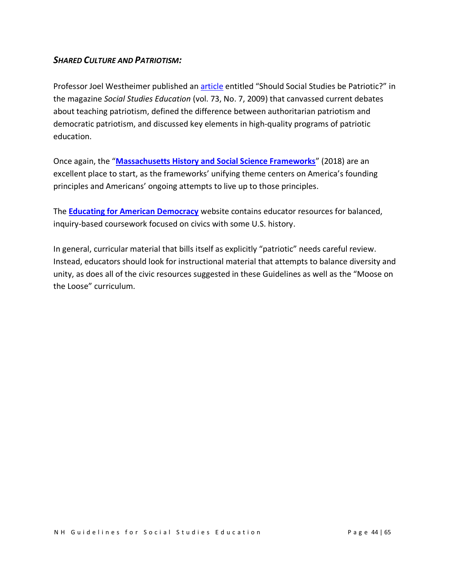### *SHARED CULTURE AND PATRIOTISM:*

Professor Joel Westheimer published an [article](https://www.socialstudies.org/system/files/publications/articles/se_7307316.pdf) entitled "Should Social Studies be Patriotic?" in the magazine *Social Studies Education* (vol. 73, No. 7, 2009) that canvassed current debates about teaching patriotism, defined the difference between authoritarian patriotism and democratic patriotism, and discussed key elements in high-quality programs of patriotic education.

Once again, the "**[Massachusetts History and Social Science Frameworks](https://www.doe.mass.edu/frameworks/hss/2018-12.pdf)**" (2018) are an excellent place to start, as the frameworks' unifying theme centers on America's founding principles and Americans' ongoing attempts to live up to those principles.

The **[Educating for American Democracy](https://www.educatingforamericandemocracy.org/)** website contains educator resources for balanced, inquiry-based coursework focused on civics with some U.S. history.

In general, curricular material that bills itself as explicitly "patriotic" needs careful review. Instead, educators should look for instructional material that attempts to balance diversity and unity, as does all of the civic resources suggested in these Guidelines as well as the "Moose on the Loose" curriculum.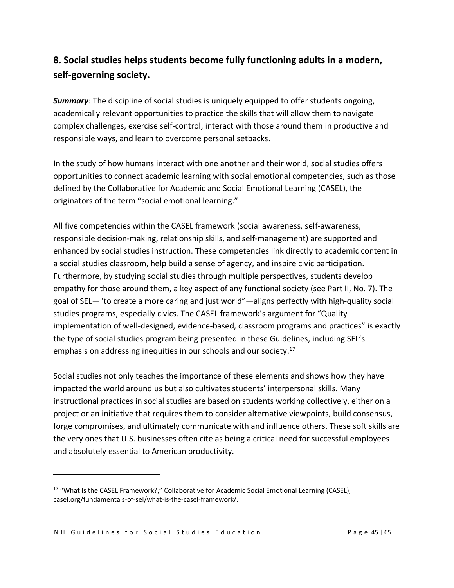# **8. Social studies helps students become fully functioning adults in a modern, self-governing society.**

*Summary*: The discipline of social studies is uniquely equipped to offer students ongoing, academically relevant opportunities to practice the skills that will allow them to navigate complex challenges, exercise self-control, interact with those around them in productive and responsible ways, and learn to overcome personal setbacks.

In the study of how humans interact with one another and their world, social studies offers opportunities to connect academic learning with social emotional competencies, such as those defined by the Collaborative for Academic and Social Emotional Learning (CASEL), the originators of the term "social emotional learning."

All five competencies within the CASEL framework (social awareness, self-awareness, responsible decision-making, relationship skills, and self-management) are supported and enhanced by social studies instruction. These competencies link directly to academic content in a social studies classroom, help build a sense of agency, and inspire civic participation. Furthermore, by studying social studies through multiple perspectives, students develop empathy for those around them, a key aspect of any functional society (see Part II, No. 7). The goal of SEL—"to create a more caring and just world"—aligns perfectly with high-quality social studies programs, especially civics. The CASEL framework's argument for "Quality implementation of well-designed, evidence-based, classroom programs and practices" is exactly the type of social studies program being presented in these Guidelines, including SEL's emphasis on addressing inequities in our schools and our society. 17

Social studies not only teaches the importance of these elements and shows how they have impacted the world around us but also cultivates students' interpersonal skills. Many instructional practices in social studies are based on students working collectively, either on a project or an initiative that requires them to consider alternative viewpoints, build consensus, forge compromises, and ultimately communicate with and influence others. These soft skills are the very ones that U.S. businesses often cite as being a critical need for successful employees and absolutely essential to American productivity.

<sup>&</sup>lt;sup>17</sup> "What Is the CASEL Framework?," Collaborative for Academic Social Emotional Learning (CASEL), casel.org/fundamentals-of-sel/what-is-the-casel-framework/.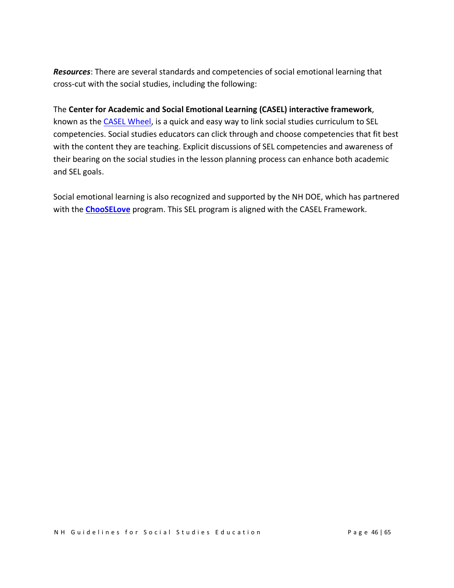*Resources*: There are several standards and competencies of social emotional learning that cross-cut with the social studies, including the following:

#### The **Center for Academic and Social Emotional Learning (CASEL) interactive framework**,

known as the CASEL [Wheel,](https://casel.org/fundamentals-of-sel/what-is-the-casel-framework/) is a quick and easy way to link social studies curriculum to SEL competencies. Social studies educators can click through and choose competencies that fit best with the content they are teaching. Explicit discussions of SEL competencies and awareness of their bearing on the social studies in the lesson planning process can enhance both academic and SEL goals.

Social emotional learning is also recognized and supported by the NH DOE, which has partnered with the **[ChooSELove](https://www.education.nh.gov/partners/chooselove)** program. This SEL program is aligned with the CASEL Framework.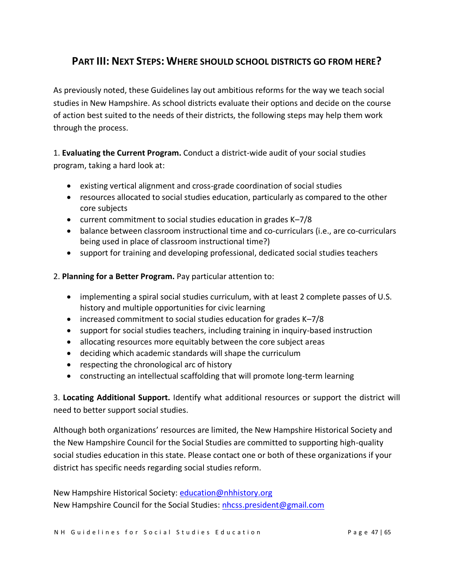## **PART III: NEXT STEPS: WHERE SHOULD SCHOOL DISTRICTS GO FROM HERE?**

As previously noted, these Guidelines lay out ambitious reforms for the way we teach social studies in New Hampshire. As school districts evaluate their options and decide on the course of action best suited to the needs of their districts, the following steps may help them work through the process.

1. **Evaluating the Current Program.** Conduct a district-wide audit of your social studies program, taking a hard look at:

- existing vertical alignment and cross-grade coordination of social studies
- resources allocated to social studies education, particularly as compared to the other core subjects
- current commitment to social studies education in grades K–7/8
- balance between classroom instructional time and co-curriculars (i.e., are co-curriculars being used in place of classroom instructional time?)
- support for training and developing professional, dedicated social studies teachers
- 2. **Planning for a Better Program.** Pay particular attention to:
	- implementing a spiral social studies curriculum, with at least 2 complete passes of U.S. history and multiple opportunities for civic learning
	- increased commitment to social studies education for grades K–7/8
	- support for social studies teachers, including training in inquiry-based instruction
	- allocating resources more equitably between the core subject areas
	- deciding which academic standards will shape the curriculum
	- respecting the chronological arc of history
	- constructing an intellectual scaffolding that will promote long-term learning

3. **Locating Additional Support.** Identify what additional resources or support the district will need to better support social studies.

Although both organizations' resources are limited, the New Hampshire Historical Society and the New Hampshire Council for the Social Studies are committed to supporting high-quality social studies education in this state. Please contact one or both of these organizations if your district has specific needs regarding social studies reform.

New Hampshire Historical Society: [education@nhhistory.org](mailto:education@nhhistory.org) New Hampshire Council for the Social Studies: [nhcss.president@gmail.com](mailto:nhcss.president@gmail.com)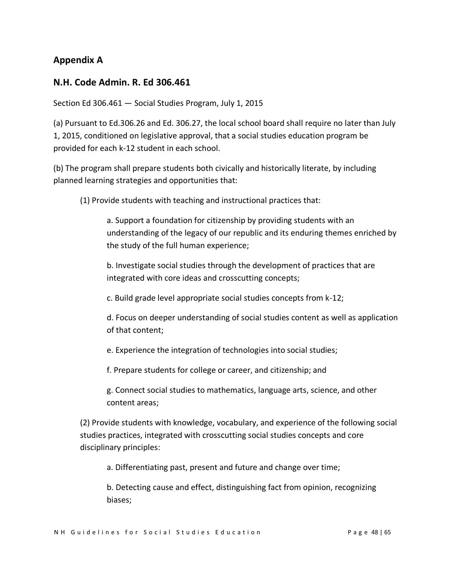## **Appendix A**

### **N.H. Code Admin. R. Ed 306.461**

Section Ed 306.461 — Social Studies Program, July 1, 2015

(a) Pursuant to Ed.306.26 and Ed. 306.27, the local school board shall require no later than July 1, 2015, conditioned on legislative approval, that a social studies education program be provided for each k-12 student in each school.

(b) The program shall prepare students both civically and historically literate, by including planned learning strategies and opportunities that:

(1) Provide students with teaching and instructional practices that:

a. Support a foundation for citizenship by providing students with an understanding of the legacy of our republic and its enduring themes enriched by the study of the full human experience;

b. Investigate social studies through the development of practices that are integrated with core ideas and crosscutting concepts;

c. Build grade level appropriate social studies concepts from k-12;

d. Focus on deeper understanding of social studies content as well as application of that content;

e. Experience the integration of technologies into social studies;

f. Prepare students for college or career, and citizenship; and

g. Connect social studies to mathematics, language arts, science, and other content areas;

(2) Provide students with knowledge, vocabulary, and experience of the following social studies practices, integrated with crosscutting social studies concepts and core disciplinary principles:

a. Differentiating past, present and future and change over time;

b. Detecting cause and effect, distinguishing fact from opinion, recognizing biases;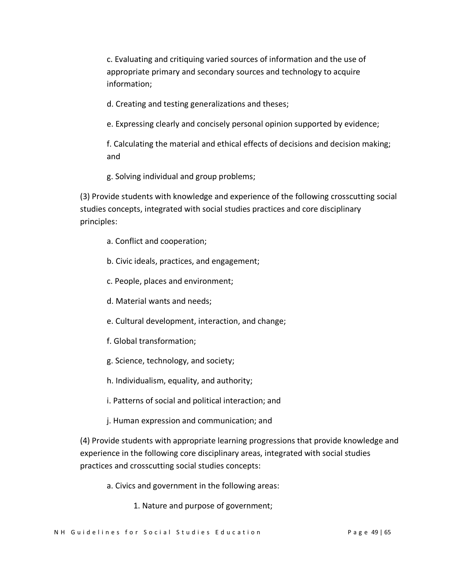c. Evaluating and critiquing varied sources of information and the use of appropriate primary and secondary sources and technology to acquire information;

d. Creating and testing generalizations and theses;

e. Expressing clearly and concisely personal opinion supported by evidence;

f. Calculating the material and ethical effects of decisions and decision making; and

g. Solving individual and group problems;

(3) Provide students with knowledge and experience of the following crosscutting social studies concepts, integrated with social studies practices and core disciplinary principles:

- a. Conflict and cooperation;
- b. Civic ideals, practices, and engagement;
- c. People, places and environment;
- d. Material wants and needs;
- e. Cultural development, interaction, and change;
- f. Global transformation;
- g. Science, technology, and society;
- h. Individualism, equality, and authority;
- i. Patterns of social and political interaction; and
- j. Human expression and communication; and

(4) Provide students with appropriate learning progressions that provide knowledge and experience in the following core disciplinary areas, integrated with social studies practices and crosscutting social studies concepts:

- a. Civics and government in the following areas:
	- 1. Nature and purpose of government;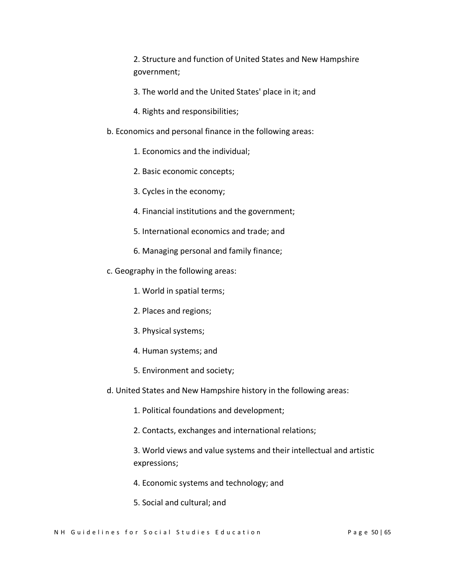2. Structure and function of United States and New Hampshire government;

- 3. The world and the United States' place in it; and
- 4. Rights and responsibilities;
- b. Economics and personal finance in the following areas:
	- 1. Economics and the individual;
	- 2. Basic economic concepts;
	- 3. Cycles in the economy;
	- 4. Financial institutions and the government;
	- 5. International economics and trade; and
	- 6. Managing personal and family finance;
- c. Geography in the following areas:
	- 1. World in spatial terms;
	- 2. Places and regions;
	- 3. Physical systems;
	- 4. Human systems; and
	- 5. Environment and society;
- d. United States and New Hampshire history in the following areas:
	- 1. Political foundations and development;
	- 2. Contacts, exchanges and international relations;

3. World views and value systems and their intellectual and artistic expressions;

- 4. Economic systems and technology; and
- 5. Social and cultural; and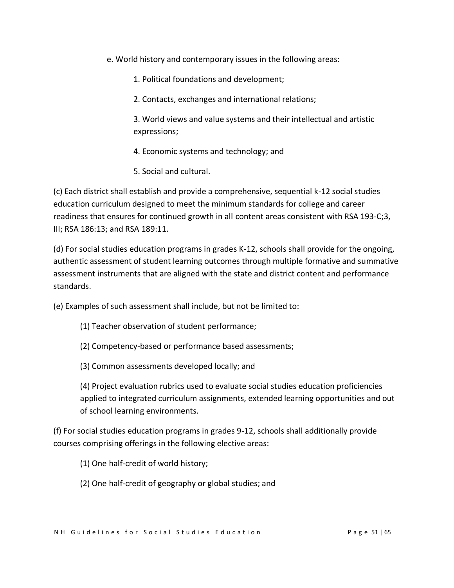- e. World history and contemporary issues in the following areas:
	- 1. Political foundations and development;
	- 2. Contacts, exchanges and international relations;

3. World views and value systems and their intellectual and artistic expressions;

- 4. Economic systems and technology; and
- 5. Social and cultural.

(c) Each district shall establish and provide a comprehensive, sequential k-12 social studies education curriculum designed to meet the minimum standards for college and career readiness that ensures for continued growth in all content areas consistent with RSA 193-C;3, III; RSA 186:13; and RSA 189:11.

(d) For social studies education programs in grades K-12, schools shall provide for the ongoing, authentic assessment of student learning outcomes through multiple formative and summative assessment instruments that are aligned with the state and district content and performance standards.

(e) Examples of such assessment shall include, but not be limited to:

- (1) Teacher observation of student performance;
- (2) Competency-based or performance based assessments;
- (3) Common assessments developed locally; and

(4) Project evaluation rubrics used to evaluate social studies education proficiencies applied to integrated curriculum assignments, extended learning opportunities and out of school learning environments.

(f) For social studies education programs in grades 9-12, schools shall additionally provide courses comprising offerings in the following elective areas:

(1) One half-credit of world history;

(2) One half-credit of geography or global studies; and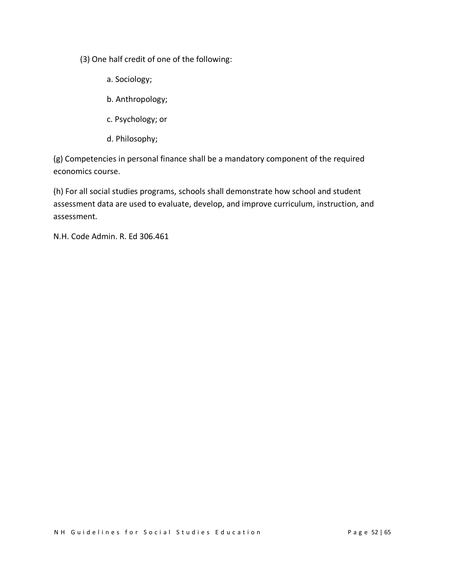(3) One half credit of one of the following:

- a. Sociology;
- b. Anthropology;
- c. Psychology; or
- d. Philosophy;

(g) Competencies in personal finance shall be a mandatory component of the required economics course.

(h) For all social studies programs, schools shall demonstrate how school and student assessment data are used to evaluate, develop, and improve curriculum, instruction, and assessment.

N.H. Code Admin. R. Ed 306.461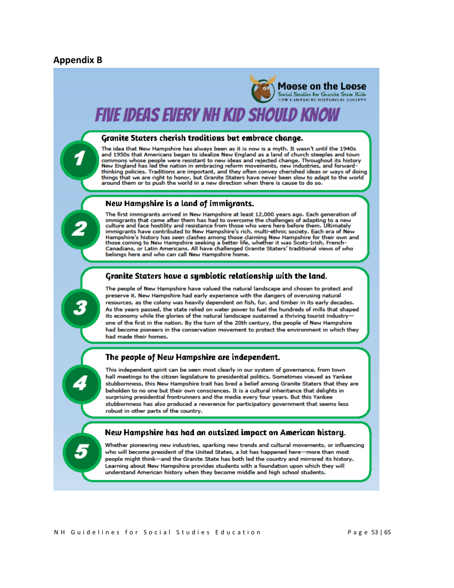#### **Appendix B**

# Moose on the Loose Social Studies for Granite State Kids

# Five ideas every nh kid should know

#### Granite Staters cherish traditions but embrace change.

The idea that New Hampshire has always been as it is now is a myth. It wasn't until the 1940s and 1950s that Americans began to idealize New England as a land of church steeples and town commons whose people were resistant to new ideas and rejected change. Throughout its history New England has led the nation in embracing reform movements, new industries, and forwardthinking policies. Traditions are important, and they often convey cherished ideas or ways of doing things that we are right to honor, but Granite Staters have never been slow to adapt to the world<br>around them or to push the world in a new direction when there is cause to do so.

#### New Hampshire is a land of immigrants.

The first immigrants arrived in New Hampshire at least 12,000 years ago. Each generation of immigrants that came after them has had to overcome the challenges of adapting to a new<br>culture and face hostility and resistance from those who were here before them. Ultimately immigrants have contributed to New Hampshire's rich, multi-ethnic society. Each era of New numgshire's history has seen clashes among those claiming New Hampshire for their own and<br>those coming to New Hampshire seeking a better life, whether it was Scots-Irish, French-Canadians, or Latin Americans. All have challenged Granite Staters' traditional views of who belongs here and who can call New Hampshire home.

#### Granite Staters have a symbiotic relationship with the land.

The people of New Hampshire have valued the natural landscape and chosen to protect and preserve it. New Hampshire had early experience with the dangers of overusing natural resources, as the colony was heavily dependent on fish, fur, and timber in its early decades. As the years passed, the state relied on water power to fuel the hundreds of mills that shaped its economy while the glories of the natural landscape sustained a thriving tourist industryone of the first in the nation. By the turn of the 20th century, the people of New Hampshire had become pioneers in the conservation movement to protect the environment in which they had made their homes.

#### The people of New Hampshire are independent.

This independent spirit can be seen most clearly in our system of governance, from town hall meetings to the citizen legislature to presidential politics. Sometimes viewed as Yankee stubbornness, this New Hampshire trait has bred a belief among Granite Staters that they are beholden to no one but their own consciences. It is a cultural inheritance that delights in surprising presidential frontrunners and the media every four years. But this Yankee stubbornness has also produced a reverence for participatory government that seems less robust in other parts of the country.

#### New Hampshire has had an outsized impact on American history.

Whether pioneering new industries, sparking new trends and cultural movements, or influencing who will become president of the United States, a lot has happened here—more than most people might think—and the Granite State has both led the country and mirrored its history. Learning about New Hampshire provides students with a foundation upon which they will understand American history when they become middle and high school students.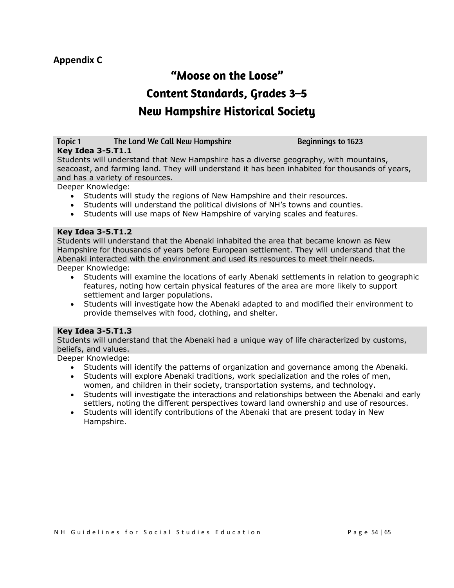## **Appendix C**

# "Moose on the Loose" **Content Standards, Grades 3-5 New Hampshire Historical Society**

#### Topic 1 The Land We Call New Hampshire **Key Idea 3-5.T1.1**

**Beginnings to 1623** 

Students will understand that New Hampshire has a diverse geography, with mountains, seacoast, and farming land. They will understand it has been inhabited for thousands of years, and has a variety of resources.

Deeper Knowledge:

- Students will study the regions of New Hampshire and their resources.
- Students will understand the political divisions of NH's towns and counties.
- Students will use maps of New Hampshire of varying scales and features.

#### **Key Idea 3-5.T1.2**

Students will understand that the Abenaki inhabited the area that became known as New Hampshire for thousands of years before European settlement. They will understand that the Abenaki interacted with the environment and used its resources to meet their needs. Deeper Knowledge:

- Students will examine the locations of early Abenaki settlements in relation to geographic features, noting how certain physical features of the area are more likely to support settlement and larger populations.
- Students will investigate how the Abenaki adapted to and modified their environment to provide themselves with food, clothing, and shelter.

#### **Key Idea 3-5.T1.3**

Students will understand that the Abenaki had a unique way of life characterized by customs, beliefs, and values.

- Students will identify the patterns of organization and governance among the Abenaki.
- Students will explore Abenaki traditions, work specialization and the roles of men, women, and children in their society, transportation systems, and technology.
- Students will investigate the interactions and relationships between the Abenaki and early settlers, noting the different perspectives toward land ownership and use of resources.
- Students will identify contributions of the Abenaki that are present today in New Hampshire.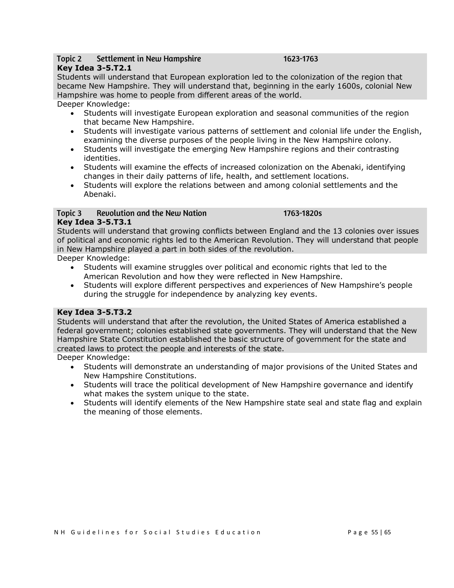#### Topic 2 Settlement in New Hampshire

#### 1623-1763

1763-1820s

#### **Key Idea 3-5.T2.1**

Students will understand that European exploration led to the colonization of the region that became New Hampshire. They will understand that, beginning in the early 1600s, colonial New Hampshire was home to people from different areas of the world.

Deeper Knowledge:

- Students will investigate European exploration and seasonal communities of the region that became New Hampshire.
- Students will investigate various patterns of settlement and colonial life under the English, examining the diverse purposes of the people living in the New Hampshire colony.
- Students will investigate the emerging New Hampshire regions and their contrasting identities.
- Students will examine the effects of increased colonization on the Abenaki, identifying changes in their daily patterns of life, health, and settlement locations.
- Students will explore the relations between and among colonial settlements and the Abenaki.

#### **Revolution and the New Nation** Topic 3 **Key Idea 3-5.T3.1**

Students will understand that growing conflicts between England and the 13 colonies over issues of political and economic rights led to the American Revolution. They will understand that people in New Hampshire played a part in both sides of the revolution.

Deeper Knowledge:

- Students will examine struggles over political and economic rights that led to the American Revolution and how they were reflected in New Hampshire.
- Students will explore different perspectives and experiences of New Hampshire's people during the struggle for independence by analyzing key events.

#### **Key Idea 3-5.T3.2**

Students will understand that after the revolution, the United States of America established a federal government; colonies established state governments. They will understand that the New Hampshire State Constitution established the basic structure of government for the state and created laws to protect the people and interests of the state.

- Students will demonstrate an understanding of major provisions of the United States and New Hampshire Constitutions.
- Students will trace the political development of New Hampshire governance and identify what makes the system unique to the state.
- Students will identify elements of the New Hampshire state seal and state flag and explain the meaning of those elements.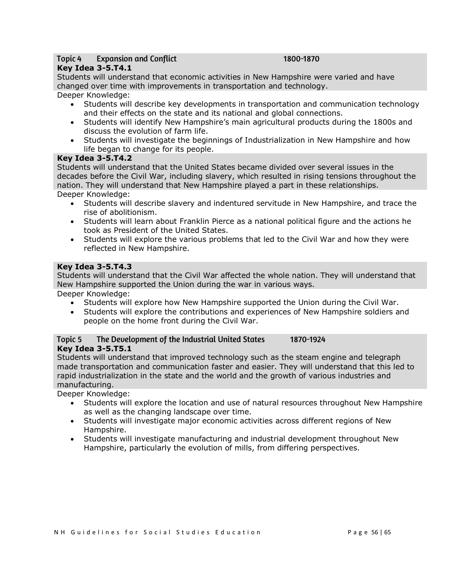#### **Expansion and Conflict** Topic 4

#### 1800-1870

#### **Key Idea 3-5.T4.1**

Students will understand that economic activities in New Hampshire were varied and have changed over time with improvements in transportation and technology.

#### Deeper Knowledge:

- Students will describe key developments in transportation and communication technology and their effects on the state and its national and global connections.
- Students will identify New Hampshire's main agricultural products during the 1800s and discuss the evolution of farm life.
- Students will investigate the beginnings of Industrialization in New Hampshire and how life began to change for its people.

#### **Key Idea 3-5.T4.2**

Students will understand that the United States became divided over several issues in the decades before the Civil War, including slavery, which resulted in rising tensions throughout the nation. They will understand that New Hampshire played a part in these relationships. Deeper Knowledge:

- Students will describe slavery and indentured servitude in New Hampshire, and trace the rise of abolitionism.
- Students will learn about Franklin Pierce as a national political figure and the actions he took as President of the United States.
- Students will explore the various problems that led to the Civil War and how they were reflected in New Hampshire.

#### **Key Idea 3-5.T4.3**

Students will understand that the Civil War affected the whole nation. They will understand that New Hampshire supported the Union during the war in various ways.

Deeper Knowledge:

- Students will explore how New Hampshire supported the Union during the Civil War.
- Students will explore the contributions and experiences of New Hampshire soldiers and people on the home front during the Civil War.

#### Topic 5 The Development of the Industrial United States 1870-1924 **Key Idea 3-5.T5.1**

Students will understand that improved technology such as the steam engine and telegraph made transportation and communication faster and easier. They will understand that this led to rapid industrialization in the state and the world and the growth of various industries and manufacturing.

- Students will explore the location and use of natural resources throughout New Hampshire as well as the changing landscape over time.
- Students will investigate major economic activities across different regions of New Hampshire.
- Students will investigate manufacturing and industrial development throughout New Hampshire, particularly the evolution of mills, from differing perspectives.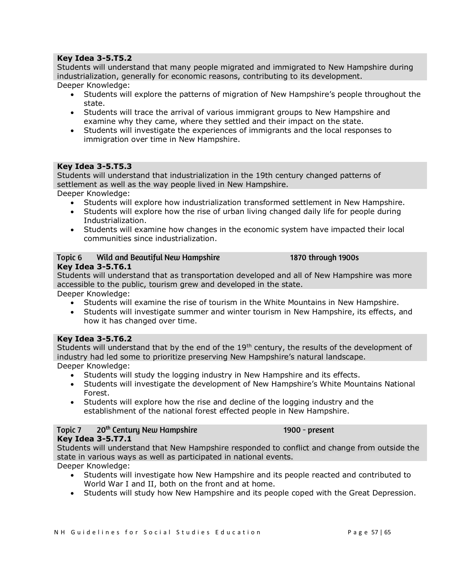#### **Key Idea 3-5.T5.2**

Students will understand that many people migrated and immigrated to New Hampshire during industrialization, generally for economic reasons, contributing to its development.

Deeper Knowledge:

- Students will explore the patterns of migration of New Hampshire's people throughout the state.
- Students will trace the arrival of various immigrant groups to New Hampshire and examine why they came, where they settled and their impact on the state.
- Students will investigate the experiences of immigrants and the local responses to immigration over time in New Hampshire.

#### **Key Idea 3-5.T5.3**

Students will understand that industrialization in the 19th century changed patterns of settlement as well as the way people lived in New Hampshire.

Deeper Knowledge:

- Students will explore how industrialization transformed settlement in New Hampshire.
- Students will explore how the rise of urban living changed daily life for people during Industrialization.
- Students will examine how changes in the economic system have impacted their local communities since industrialization.

#### Topic 6 Wild and Beautiful New Hampshire

1870 through 1900s

#### **Key Idea 3-5.T6.1**

Students will understand that as transportation developed and all of New Hampshire was more accessible to the public, tourism grew and developed in the state.

Deeper Knowledge:

- Students will examine the rise of tourism in the White Mountains in New Hampshire.
- Students will investigate summer and winter tourism in New Hampshire, its effects, and how it has changed over time.

#### **Key Idea 3-5.T6.2**

Students will understand that by the end of the  $19<sup>th</sup>$  century, the results of the development of industry had led some to prioritize preserving New Hampshire's natural landscape. Deeper Knowledge:

- Students will study the logging industry in New Hampshire and its effects.
- Students will investigate the development of New Hampshire's White Mountains National Forest.
- Students will explore how the rise and decline of the logging industry and the establishment of the national forest effected people in New Hampshire.

#### 20<sup>th</sup> Centuru New Hampshire Topic 7

#### 1900 - present

#### **Key Idea 3-5.T7.1**

Students will understand that New Hampshire responded to conflict and change from outside the state in various ways as well as participated in national events.

- Students will investigate how New Hampshire and its people reacted and contributed to World War I and II, both on the front and at home.
- Students will study how New Hampshire and its people coped with the Great Depression.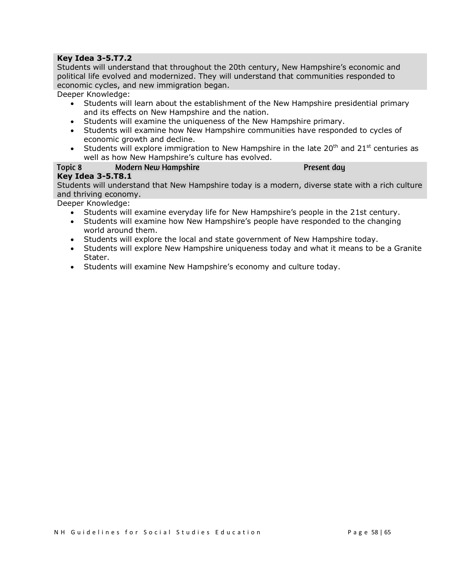#### **Key Idea 3-5.T7.2**

Students will understand that throughout the 20th century, New Hampshire's economic and political life evolved and modernized. They will understand that communities responded to economic cycles, and new immigration began.

Deeper Knowledge:

- Students will learn about the establishment of the New Hampshire presidential primary and its effects on New Hampshire and the nation.
- Students will examine the uniqueness of the New Hampshire primary.
- Students will examine how New Hampshire communities have responded to cycles of economic growth and decline.
- Students will explore immigration to New Hampshire in the late  $20<sup>th</sup>$  and  $21<sup>st</sup>$  centuries as well as how New Hampshire's culture has evolved.

#### Topic 8 **Modern New Hampshire**

Present day

#### **Key Idea 3-5.T8.1**

Students will understand that New Hampshire today is a modern, diverse state with a rich culture and thriving economy.

- Students will examine everyday life for New Hampshire's people in the 21st century.
- Students will examine how New Hampshire's people have responded to the changing world around them.
- Students will explore the local and state government of New Hampshire today.
- Students will explore New Hampshire uniqueness today and what it means to be a Granite Stater.
- Students will examine New Hampshire's economy and culture today.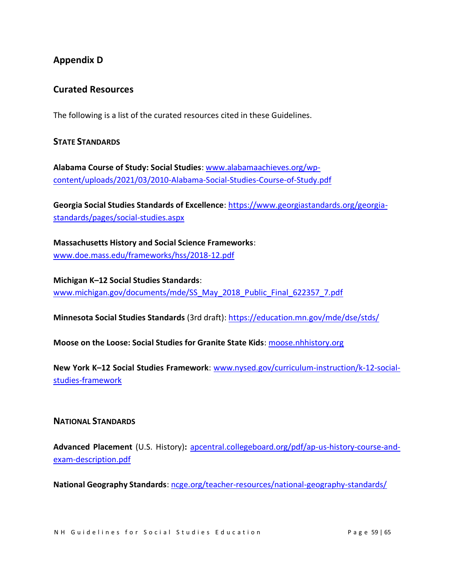## **Appendix D**

## **Curated Resources**

The following is a list of the curated resources cited in these Guidelines.

#### **STATE STANDARDS**

**Alabama Course of Study: Social Studies**[: www.alabamaachieves.org/wp](https://www.alabamaachieves.org/wp-content/uploads/2021/03/2010-Alabama-Social-Studies-Course-of-Study.pdf)[content/uploads/2021/03/2010-Alabama-Social-Studies-Course-of-Study.pdf](https://www.alabamaachieves.org/wp-content/uploads/2021/03/2010-Alabama-Social-Studies-Course-of-Study.pdf)

**Georgia Social Studies Standards of Excellence**: [https://www.georgiastandards.org/georgia](https://www.georgiastandards.org/georgia-standards/pages/social-studies.aspx)[standards/pages/social-studies.aspx](https://www.georgiastandards.org/georgia-standards/pages/social-studies.aspx)

**Massachusetts History and Social Science Frameworks**: [www.doe.mass.edu/frameworks/hss/2018-12.pdf](https://www.doe.mass.edu/frameworks/hss/2018-12.pdf)

**Michigan K–12 Social Studies Standards**: [www.michigan.gov/documents/mde/SS\\_May\\_2018\\_Public\\_Final\\_622357\\_7.pdf](https://www.michigan.gov/documents/mde/SS_May_2018_Public_Final_622357_7.pdf)

**Minnesota Social Studies Standards** (3rd draft):<https://education.mn.gov/mde/dse/stds/>

**Moose on the Loose: Social Studies for Granite State Kids**: [moose.nhhistory.org](https://www.moose.nhhistory.org/)

**New York K–12 Social Studies Framework**: [www.nysed.gov/curriculum-instruction/k-12-social](https://www.nysed.gov/curriculum-instruction/k-12-social-studies-framework)[studies-framework](https://www.nysed.gov/curriculum-instruction/k-12-social-studies-framework)

#### **NATIONAL STANDARDS**

**Advanced Placement** (U.S. History)**:** [apcentral.collegeboard.org/pdf/ap-us-history-course-and](https://apcentral.collegeboard.org/pdf/ap-us-history-course-and-exam-description.pdf)[exam-description.pdf](https://apcentral.collegeboard.org/pdf/ap-us-history-course-and-exam-description.pdf) 

**National Geography Standards**[: ncge.org/teacher-resources/national-geography-standards/](https://ncge.org/teacher-resources/national-geography-standards/)

N H G uidelines for Social Studies Education The Sea Page 59 | 65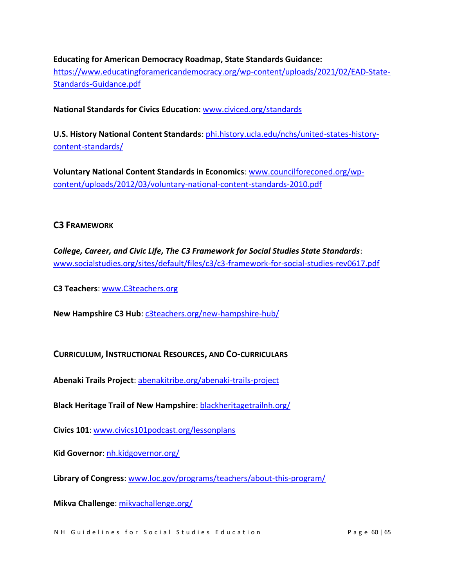#### **Educating for American Democracy Roadmap, State Standards Guidance:**

[https://www.educatingforamericandemocracy.org/wp-content/uploads/2021/02/EAD-State-](https://www.educatingforamericandemocracy.org/wp-content/uploads/2021/02/EAD-State-Standards-Guidance.pdf)[Standards-Guidance.pdf](https://www.educatingforamericandemocracy.org/wp-content/uploads/2021/02/EAD-State-Standards-Guidance.pdf)

**National Standards for Civics Education**: [www.civiced.org/standards](https://www.civiced.org/standards)

**U.S. History National Content Standards**[: phi.history.ucla.edu/nchs/united-states-history](https://phi.history.ucla.edu/nchs/united-states-history-content-standards/)[content-standards/](https://phi.history.ucla.edu/nchs/united-states-history-content-standards/)

**Voluntary National Content Standards in Economics**: [www.councilforeconed.org/wp](https://www.councilforeconed.org/wp-content/uploads/2012/03/voluntary-national-content-standards-2010.pdf)[content/uploads/2012/03/voluntary-national-content-standards-2010.pdf](https://www.councilforeconed.org/wp-content/uploads/2012/03/voluntary-national-content-standards-2010.pdf)

#### **C3 FRAMEWORK**

*College, Career, and Civic Life, The C3 Framework for Social Studies State Standards*: [www.socialstudies.org/sites/default/files/c3/c3-framework-for-social-studies-rev0617.pdf](https://www.socialstudies.org/sites/default/files/c3/c3-framework-for-social-studies-rev0617.pdf)

**C3 Teachers**[: www.C3teachers.org](https://www.c3teachers.org/)

**New Hampshire C3 Hub**: [c3teachers.org/new-hampshire-hub/](https://c3teachers.org/new-hampshire-hub/)

**CURRICULUM, INSTRUCTIONAL RESOURCES, AND CO-CURRICULARS**

**Abenaki Trails Project**: [abenakitribe.org/abenaki-trails-project](https://abenakitribe.org/abenaki-trails-project)

**Black Heritage Trail of New Hampshire**: [blackheritagetrailnh.org/](https://blackheritagetrailnh.org/)

**Civics 101**: [www.civics101podcast.org/lessonplans](https://www.civics101podcast.org/lessonplans)

**Kid Governor**: [nh.kidgovernor.org/](http://nh.kidgovernor.org/)

**Library of Congress**: [www.loc.gov/programs/teachers/about-this-program/](https://www.loc.gov/programs/teachers/about-this-program/)

**Mikva Challenge**: [mikvachallenge.org/](https://mikvachallenge.org/)

N H G uidelines for Social Studies Education The Sea of the Sea Page 60 | 65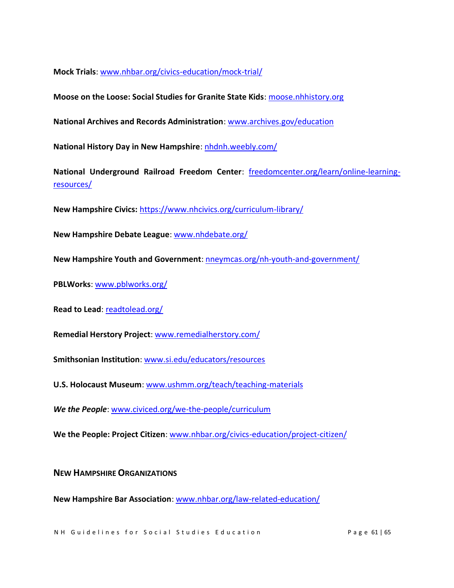**Mock Trials**: [www.nhbar.org/civics-education/mock-trial/](https://www.nhbar.org/civics-education/mock-trial/)

**Moose on the Loose: Social Studies for Granite State Kids**: [moose.nhhistory.org](https://www.moose.nhhistory.org/)

**National Archives and Records Administration**: [www.archives.gov/education](https://www.archives.gov/education)

National History Day in New Hampshire[: nhdnh.weebly.com/](https://nhdnh.weebly.com/)

**National Underground Railroad Freedom Center**: [freedomcenter.org/learn/online-learning](https://freedomcenter.org/learn/online-learning-resources/)[resources/](https://freedomcenter.org/learn/online-learning-resources/)

**New Hampshire Civics:** <https://www.nhcivics.org/curriculum-library/>

**New Hampshire Debate League**[: www.nhdebate.org/](https://www.nhdebate.org/)

**New Hampshire Youth and Government**: [nneymcas.org/nh-youth-and-government/](https://nneymcas.org/nh-youth-and-government/)

**PBLWorks**: [www.pblworks.org/](https://www.pblworks.org/)

**Read to Lead: [readtolead.org/](https://readtolead.org/)** 

**Remedial Herstory Project**: [www.remedialherstory.com/](https://www.remedialherstory.com/)

**Smithsonian Institution**: [www.si.edu/educators/resources](https://www.si.edu/educators/resources)

**U.S. Holocaust Museum**: [www.ushmm.org/teach/teaching-materials](https://www.ushmm.org/teach/teaching-materials)

*We the People*: [www.civiced.org/we-the-people/curriculum](https://www.civiced.org/we-the-people/curriculum)

**We the People: Project Citizen**: [www.nhbar.org/civics-education/project-citizen/](https://www.nhbar.org/civics-education/project-citizen/)

**NEW HAMPSHIRE ORGANIZATIONS**

**New Hampshire Bar Association**: [www.nhbar.org/law-related-education/](https://www.nhbar.org/law-related-education/)

N H G uidelines for Social Studies Education Page 61 | 65